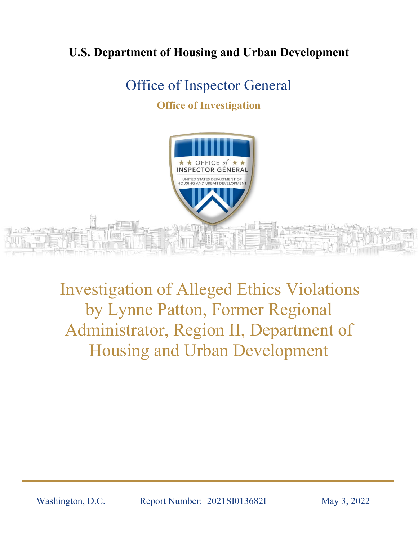## **U.S. Department of Housing and Urban Development**

# Office of Inspector General

### **Office of Investigation**



Investigation of Alleged Ethics Violations by Lynne Patton, Former Regional Administrator, Region II, Department of Housing and Urban Development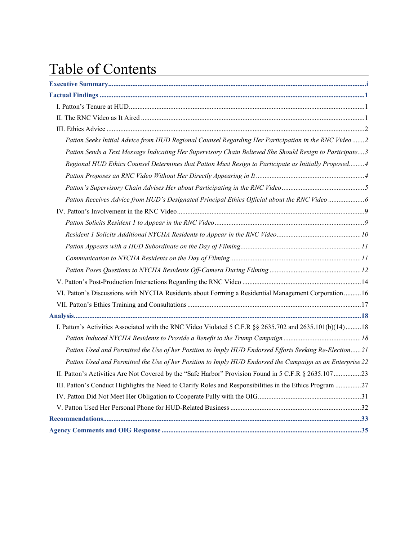# Table of Contents

| Patton Seeks Initial Advice from HUD Regional Counsel Regarding Her Participation in the RNC Video 2     |
|----------------------------------------------------------------------------------------------------------|
| Patton Sends a Text Message Indicating Her Supervisory Chain Believed She Should Resign to Participate3  |
| Regional HUD Ethics Counsel Determines that Patton Must Resign to Participate as Initially Proposed 4    |
|                                                                                                          |
|                                                                                                          |
| Patton Receives Advice from HUD's Designated Principal Ethics Official about the RNC Video 6             |
|                                                                                                          |
|                                                                                                          |
|                                                                                                          |
|                                                                                                          |
|                                                                                                          |
|                                                                                                          |
|                                                                                                          |
| VI. Patton's Discussions with NYCHA Residents about Forming a Residential Management Corporation 16      |
|                                                                                                          |
|                                                                                                          |
| I. Patton's Activities Associated with the RNC Video Violated 5 C.F.R §§ 2635.702 and 2635.101(b)(14)18  |
|                                                                                                          |
| Patton Used and Permitted the Use of her Position to Imply HUD Endorsed Efforts Seeking Re-Election21    |
| Patton Used and Permitted the Use of her Position to Imply HUD Endorsed the Campaign as an Enterprise 22 |
| II. Patton's Activities Are Not Covered by the "Safe Harbor" Provision Found in 5 C.F.R § 2635.107 23    |
| III. Patton's Conduct Highlights the Need to Clarify Roles and Responsibilities in the Ethics Program 27 |
|                                                                                                          |
|                                                                                                          |
|                                                                                                          |
|                                                                                                          |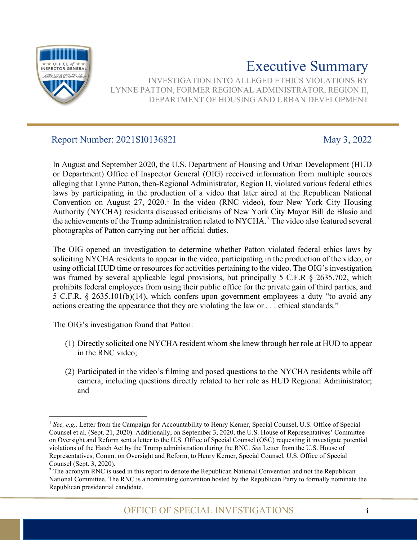<span id="page-2-0"></span>

# Executive Summary

INVESTIGATION INTO ALLEGED ETHICS VIOLATIONS BY LYNNE PATTON, FORMER REGIONAL ADMINISTRATOR, REGION II, DEPARTMENT OF HOUSING AND URBAN DEVELOPMENT

### Report Number: 2021SI013682I May 3, 2022

In August and September 2020, the U.S. Department of Housing and Urban Development (HUD or Department) Office of Inspector General (OIG) received information from multiple sources alleging that Lynne Patton, then-Regional Administrator, Region II, violated various federal ethics laws by participating in the production of a video that later aired at the Republican National Convention on August 27, 2020.<sup>[1](#page-2-1)</sup> In the video (RNC video), four New York City Housing Authority (NYCHA) residents discussed criticisms of New York City Mayor Bill de Blasio and the achievements of the Trump administration related to NYCHA.<sup>[2](#page-2-2)</sup> The video also featured several photographs of Patton carrying out her official duties.

The OIG opened an investigation to determine whether Patton violated federal ethics laws by soliciting NYCHA residents to appear in the video, participating in the production of the video, or using official HUD time or resources for activities pertaining to the video. The OIG's investigation was framed by several applicable legal provisions, but principally 5 C.F.R § 2635.702, which prohibits federal employees from using their public office for the private gain of third parties, and 5 C.F.R. § 2635.101(b)(14), which confers upon government employees a duty "to avoid any actions creating the appearance that they are violating the law or . . . ethical standards."

The OIG's investigation found that Patton:

- (1) Directly solicited one NYCHA resident whom she knew through her role at HUD to appear in the RNC video;
- (2) Participated in the video's filming and posed questions to the NYCHA residents while off camera, including questions directly related to her role as HUD Regional Administrator; and

<span id="page-2-1"></span><sup>&</sup>lt;sup>1</sup> See, e.g., Letter from the Campaign for Accountability to Henry Kerner, Special Counsel, U.S. Office of Special Counsel et al. (Sept. 21, 2020). Additionally, on September 3, 2020, the U.S. House of Representatives' Committee on Oversight and Reform sent [a letter to the U.S. Office of Special Counsel \(OSC\)](https://oversight.house.gov/sites/democrats.oversight.house.gov/files/2020-09-03.CBM%20SFL%20GEC%20Plaskett%20to%20OSC%20RNCre%20%20Hatch%20Act.pdf) requesting it investigate potential violations of the Hatch Act by the Trump administration during the RNC. *See* [Letter from the U.S. House of](file://hudoig.gov/public/HUDShare/OSI/Shared/Patton/A-%20Background%20Documents/b-%20Congressional%20correspondence/September%203%202020%20OSC%20Letter%20from%20House.pdf)  [Representatives, Comm. on Oversight and Reform, to Henry Kerner, Special Counsel, U.S. Office of Special](file://hudoig.gov/public/HUDShare/OSI/Shared/Patton/A-%20Background%20Documents/b-%20Congressional%20correspondence/September%203%202020%20OSC%20Letter%20from%20House.pdf)  [Counsel \(Sept. 3, 2020\).](file://hudoig.gov/public/HUDShare/OSI/Shared/Patton/A-%20Background%20Documents/b-%20Congressional%20correspondence/September%203%202020%20OSC%20Letter%20from%20House.pdf)

<span id="page-2-2"></span><sup>2</sup> The acronym RNC is used in this report to denote the Republican National Convention and not the Republican National Committee. The RNC is a nominating convention hosted by the Republican Party to formally nominate the Republican presidential candidate.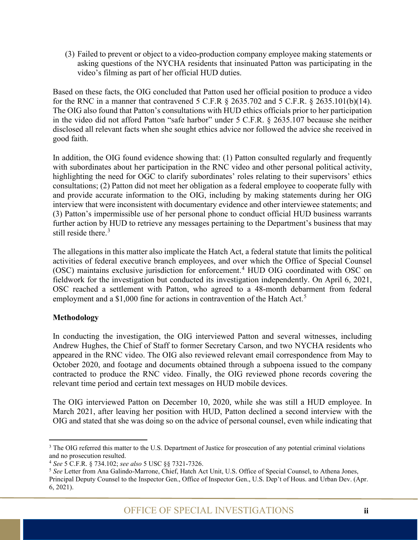(3) Failed to prevent or object to a video-production company employee making statements or asking questions of the NYCHA residents that insinuated Patton was participating in the video's filming as part of her official HUD duties.

Based on these facts, the OIG concluded that Patton used her official position to produce a video for the RNC in a manner that contravened 5 C.F.R § 2635.702 and 5 C.F.R. § 2635.101(b)(14). The OIG also found that Patton's consultations with HUD ethics officials prior to her participation in the video did not afford Patton "safe harbor" under 5 C.F.R. § 2635.107 because she neither disclosed all relevant facts when she sought ethics advice nor followed the advice she received in good faith.

In addition, the OIG found evidence showing that: (1) Patton consulted regularly and frequently with subordinates about her participation in the RNC video and other personal political activity, highlighting the need for OGC to clarify subordinates' roles relating to their supervisors' ethics consultations; (2) Patton did not meet her obligation as a federal employee to cooperate fully with and provide accurate information to the OIG, including by making statements during her OIG interview that were inconsistent with documentary evidence and other interviewee statements; and (3) Patton's impermissible use of her personal phone to conduct official HUD business warrants further action by HUD to retrieve any messages pertaining to the Department's business that may still reside there. [3](#page-3-0)

The allegations in this matter also implicate the Hatch Act, a federal statute that limits the political activities of federal executive branch employees, and over which the Office of Special Counsel (OSC) maintains exclusive jurisdiction for enforcement. [4](#page-3-1) HUD OIG coordinated with OSC on fieldwork for the investigation but conducted its investigation independently. On April 6, 2021, OSC reached a settlement with Patton, who agreed to a 48-month debarment from federal employment and a \$1,000 fine for actions in contravention of the Hatch Act.<sup>[5](#page-3-2)</sup>

#### **Methodology**

In conducting the investigation, the OIG interviewed Patton and several witnesses, including Andrew Hughes, the Chief of Staff to former Secretary Carson, and two NYCHA residents who appeared in the RNC video. The OIG also reviewed relevant email correspondence from May to October 2020, and footage and documents obtained through a subpoena issued to the company contracted to produce the RNC video. Finally, the OIG reviewed phone records covering the relevant time period and certain text messages on HUD mobile devices.

The OIG interviewed Patton on December 10, 2020, while she was still a HUD employee. In March 2021, after leaving her position with HUD, Patton declined a second interview with the OIG and stated that she was doing so on the advice of personal counsel, even while indicating that

<span id="page-3-0"></span><sup>&</sup>lt;sup>3</sup> The OIG referred this matter to the U.S. Department of Justice for prosecution of any potential criminal violations and no prosecution resulted. 4 *See* 5 C.F.R. § 734.102; *see also* 5 USC §§ 7321-7326.

<span id="page-3-1"></span>

<span id="page-3-2"></span><sup>5</sup> *See* Letter from Ana Galindo-Marrone, Chief, Hatch Act Unit, U.S. Office of Special Counsel, to Athena Jones, Principal Deputy Counsel to the Inspector Gen., Office of Inspector Gen., U.S. Dep't of Hous. and Urban Dev. (Apr. 6, 2021).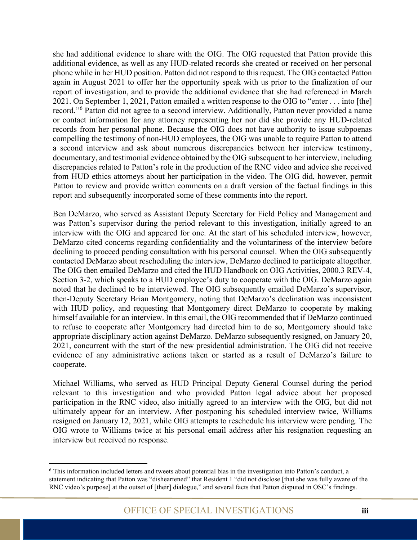she had additional evidence to share with the OIG. The OIG requested that Patton provide this additional evidence, as well as any HUD-related records she created or received on her personal phone while in her HUD position. Patton did not respond to this request. The OIG contacted Patton again in August 2021 to offer her the opportunity speak with us prior to the finalization of our report of investigation, and to provide the additional evidence that she had referenced in March 2021. On September 1, 2021, Patton emailed a written response to the OIG to "enter . . . into [the] record."[6](#page-4-0) Patton did not agree to a second interview. Additionally, Patton never provided a name or contact information for any attorney representing her nor did she provide any HUD-related records from her personal phone. Because the OIG does not have authority to issue subpoenas compelling the testimony of non-HUD employees, the OIG was unable to require Patton to attend a second interview and ask about numerous discrepancies between her interview testimony, documentary, and testimonial evidence obtained by the OIG subsequent to her interview, including discrepancies related to Patton's role in the production of the RNC video and advice she received from HUD ethics attorneys about her participation in the video. The OIG did, however, permit Patton to review and provide written comments on a draft version of the factual findings in this report and subsequently incorporated some of these comments into the report.

Ben DeMarzo, who served as Assistant Deputy Secretary for Field Policy and Management and was Patton's supervisor during the period relevant to this investigation, initially agreed to an interview with the OIG and appeared for one. At the start of his scheduled interview, however, DeMarzo cited concerns regarding confidentiality and the voluntariness of the interview before declining to proceed pending consultation with his personal counsel. When the OIG subsequently contacted DeMarzo about rescheduling the interview, DeMarzo declined to participate altogether. The OIG then emailed DeMarzo and cited the HUD Handbook on OIG Activities, 2000.3 REV-4, Section 3-2, which speaks to a HUD employee's duty to cooperate with the OIG. DeMarzo again noted that he declined to be interviewed. The OIG subsequently emailed DeMarzo's supervisor, then-Deputy Secretary Brian Montgomery, noting that DeMarzo's declination was inconsistent with HUD policy, and requesting that Montgomery direct DeMarzo to cooperate by making himself available for an interview. In this email, the OIG recommended that if DeMarzo continued to refuse to cooperate after Montgomery had directed him to do so, Montgomery should take appropriate disciplinary action against DeMarzo. DeMarzo subsequently resigned, on January 20, 2021, concurrent with the start of the new presidential administration. The OIG did not receive evidence of any administrative actions taken or started as a result of DeMarzo's failure to cooperate.

Michael Williams, who served as HUD Principal Deputy General Counsel during the period relevant to this investigation and who provided Patton legal advice about her proposed participation in the RNC video, also initially agreed to an interview with the OIG, but did not ultimately appear for an interview. After postponing his scheduled interview twice, Williams resigned on January 12, 2021, while OIG attempts to reschedule his interview were pending. The OIG wrote to Williams twice at his personal email address after his resignation requesting an interview but received no response.

<span id="page-4-0"></span><sup>6</sup> This information included letters and tweets about potential bias in the investigation into Patton's conduct, a statement indicating that Patton was "disheartened" that Resident 1 "did not disclose [that she was fully aware of the RNC video's purpose] at the outset of [their] dialogue," and several facts that Patton disputed in OSC's findings.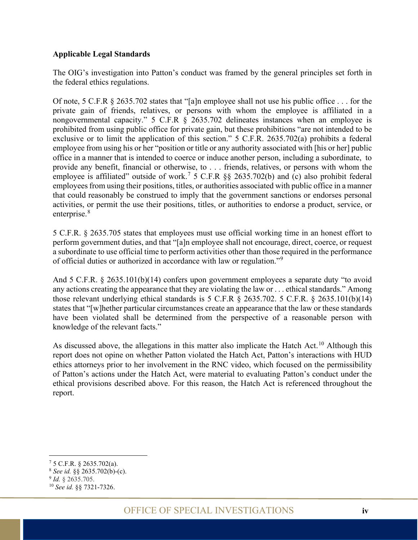#### **Applicable Legal Standards**

The OIG's investigation into Patton's conduct was framed by the general principles set forth in the federal ethics regulations.

Of note, 5 C.F.R § 2635.702 states that "[a]n employee shall not use his public office . . . for the private gain of friends, relatives, or persons with whom the employee is affiliated in a nongovernmental capacity." 5 C.F.R § 2635.702 delineates instances when an employee is prohibited from using public office for private gain, but these prohibitions "are not intended to be exclusive or to limit the application of this section." 5 C.F.R. 2635.702(a) prohibits a federal employee from using his or her "position or title or any authority associated with [his or her] public office in a manner that is intended to coerce or induce another person, including a subordinate, to provide any benefit, financial or otherwise, to . . . friends, relatives, or persons with whom the employee is affiliated" outside of work.<sup>[7](#page-5-0)</sup> 5 C.F.R §§ 2635.702(b) and (c) also prohibit federal employees from using their positions, titles, or authorities associated with public office in a manner that could reasonably be construed to imply that the government sanctions or endorses personal activities, or permit the use their positions, titles, or authorities to endorse a product, service, or enterprise.<sup>[8](#page-5-1)</sup>

5 C.F.R. § 2635.705 states that employees must use official working time in an honest effort to perform government duties, and that "[a]n employee shall not encourage, direct, coerce, or request a subordinate to use official time to perform activities other than those required in the performance of official duties or authorized in accordance with law or regulation."[9](#page-5-2)

And 5 C.F.R. § 2635.101(b)(14) confers upon government employees a separate duty "to avoid any actions creating the appearance that they are violating the law or . . . ethical standards." Among those relevant underlying ethical standards is  $5$  C.F.R  $\frac{6}{5}$  2635.702.  $5$  C.F.R.  $\frac{6}{5}$  2635.101(b)(14) states that "[w]hether particular circumstances create an appearance that the law or these standards have been violated shall be determined from the perspective of a reasonable person with knowledge of the relevant facts."

As discussed above, the allegations in this matter also implicate the Hatch Act.<sup>[10](#page-5-3)</sup> Although this report does not opine on whether Patton violated the Hatch Act, Patton's interactions with HUD ethics attorneys prior to her involvement in the RNC video, which focused on the permissibility of Patton's actions under the Hatch Act, were material to evaluating Patton's conduct under the ethical provisions described above. For this reason, the Hatch Act is referenced throughout the report.

<span id="page-5-0"></span><sup>7</sup> 5 C.F.R. § 2635.702(a).

<span id="page-5-2"></span><span id="page-5-1"></span> $^8$  *See id.* §§ 2635.702(b)-(c).<br><sup>9</sup> *Id.* § 2635.705.

<span id="page-5-3"></span><sup>&</sup>lt;sup>10</sup> See id. §§ 7321-7326.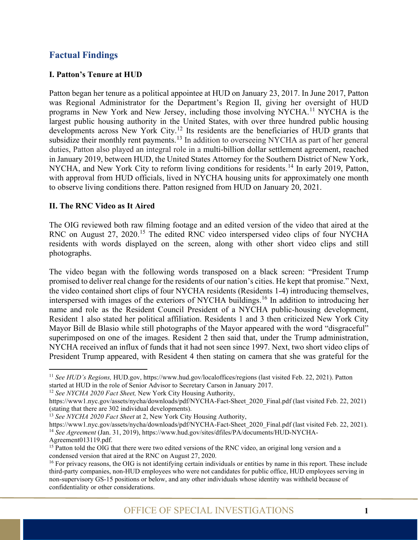#### <span id="page-6-0"></span>**Factual Findings**

#### <span id="page-6-1"></span>**I. Patton's Tenure at HUD**

Patton began her tenure as a political appointee at HUD on January 23, 2017. In June 2017, Patton was Regional Administrator for the Department's Region II, giving her oversight of HUD programs in New York and New Jersey, including those involving NYCHA.[11](#page-6-3) NYCHA is the largest public housing authority in the United States, with over three hundred public housing developments across New York City.<sup>[12](#page-6-4)</sup> Its residents are the beneficiaries of HUD grants that subsidize their monthly rent payments.<sup>[13](#page-6-5)</sup> In addition to overseeing NYCHA as part of her general duties, Patton also played an integral role in a multi-billion dollar settlement agreement, reached in January 2019, between HUD, the United States Attorney for the Southern District of New York, NYCHA, and New York City to reform living conditions for residents.<sup>[14](#page-6-6)</sup> In early 2019, Patton, with approval from HUD officials, lived in NYCHA housing units for approximately one month to observe living conditions there. Patton resigned from HUD on January 20, 2021.

#### <span id="page-6-2"></span>**II. The RNC Video as It Aired**

The OIG reviewed both raw filming footage and an edited version of the video that aired at the RNC on August 27, 2020.<sup>[15](#page-6-7)</sup> The edited RNC video interspersed video clips of four NYCHA residents with words displayed on the screen, along with other short video clips and still photographs.

The video began with the following words transposed on a black screen: "President Trump promised to deliver real change for the residents of our nation's cities. He kept that promise." Next, the video contained short clips of four NYCHA residents (Residents 1-4) introducing themselves, interspersed with images of the exteriors of NYCHA buildings.[16](#page-6-8) In addition to introducing her name and role as the Resident Council President of a NYCHA public-housing development, Resident 1 also stated her political affiliation. Residents 1 and 3 then criticized New York City Mayor Bill de Blasio while still photographs of the Mayor appeared with the word "disgraceful" superimposed on one of the images. Resident 2 then said that, under the Trump administration, NYCHA received an influx of funds that it had not seen since 1997. Next, two short video clips of President Trump appeared, with Resident 4 then stating on camera that she was grateful for the

<span id="page-6-3"></span><sup>11</sup> *See HUD's Regions,* HUD.gov, <https://www.hud.gov/localoffices/regions> (last visited Feb. 22, 2021). Patton started at HUD in the role of Senior Advisor to Secretary Carson in January 2017.

<span id="page-6-4"></span><sup>12</sup> *See NYCHA 2020 Fact Sheet,* New York City Housing Authority,

[https://www1.nyc.gov/assets/nycha/downloads/pdf/NYCHA-Fact-Sheet\\_2020\\_Final.pdf](https://www1.nyc.gov/assets/nycha/downloads/pdf/NYCHA-Fact-Sheet_2020_Final.pdf) (last visited Feb. 22, 2021) (stating that there are 302 individual developments).

<span id="page-6-5"></span><sup>13</sup> *See NYCHA 2020 Fact Sheet* at 2, New York City Housing Authority,

<span id="page-6-6"></span>[https://www1.nyc.gov/assets/nycha/downloads/pdf/NYCHA-Fact-Sheet\\_2020\\_Final.pdf](https://www1.nyc.gov/assets/nycha/downloads/pdf/NYCHA-Fact-Sheet_2020_Final.pdf) (last visited Feb. 22, 2021). <sup>14</sup> See Agreement (Jan. 31, 2019), https://www.hud.gov/sites/dfiles/PA/documents/HUD-NYCHA-Agreement013119.pdf.

<span id="page-6-7"></span><sup>&</sup>lt;sup>15</sup> Patton told the OIG that there were two edited versions of the RNC video, an original long version and a condensed version that aired at the RNC on August 27, 2020.

<span id="page-6-8"></span><sup>&</sup>lt;sup>16</sup> For privacy reasons, the OIG is not identifying certain individuals or entities by name in this report. These include third-party companies, non-HUD employees who were not candidates for public office, HUD employees serving in non-supervisory GS-15 positions or below, and any other individuals whose identity was withheld because of confidentiality or other considerations.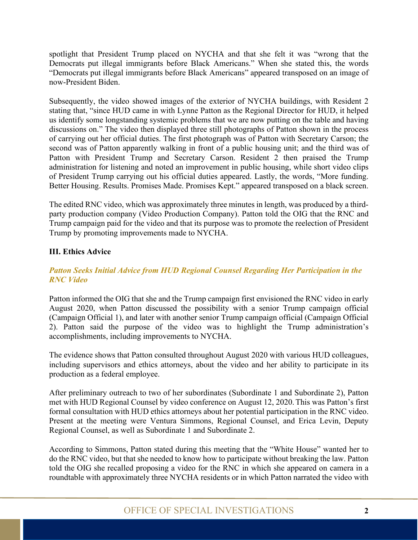spotlight that President Trump placed on NYCHA and that she felt it was "wrong that the Democrats put illegal immigrants before Black Americans." When she stated this, the words "Democrats put illegal immigrants before Black Americans" appeared transposed on an image of now-President Biden.

Subsequently, the video showed images of the exterior of NYCHA buildings, with Resident 2 stating that, "since HUD came in with Lynne Patton as the Regional Director for HUD, it helped us identify some longstanding systemic problems that we are now putting on the table and having discussions on." The video then displayed three still photographs of Patton shown in the process of carrying out her official duties. The first photograph was of Patton with Secretary Carson; the second was of Patton apparently walking in front of a public housing unit; and the third was of Patton with President Trump and Secretary Carson. Resident 2 then praised the Trump administration for listening and noted an improvement in public housing, while short video clips of President Trump carrying out his official duties appeared. Lastly, the words, "More funding. Better Housing. Results. Promises Made. Promises Kept." appeared transposed on a black screen.

The edited RNC video, which was approximately three minutes in length, was produced by a thirdparty production company (Video Production Company). Patton told the OIG that the RNC and Trump campaign paid for the video and that its purpose was to promote the reelection of President Trump by promoting improvements made to NYCHA.

#### <span id="page-7-0"></span>**III. Ethics Advice**

#### <span id="page-7-1"></span>*Patton Seeks Initial Advice from HUD Regional Counsel Regarding Her Participation in the RNC Video*

Patton informed the OIG that she and the Trump campaign first envisioned the RNC video in early August 2020, when Patton discussed the possibility with a senior Trump campaign official (Campaign Official 1), and later with another senior Trump campaign official (Campaign Official 2). Patton said the purpose of the video was to highlight the Trump administration's accomplishments, including improvements to NYCHA.

The evidence shows that Patton consulted throughout August 2020 with various HUD colleagues, including supervisors and ethics attorneys, about the video and her ability to participate in its production as a federal employee.

After preliminary outreach to two of her subordinates (Subordinate 1 and Subordinate 2), Patton met with HUD Regional Counsel by video conference on August 12, 2020.This was Patton's first formal consultation with HUD ethics attorneys about her potential participation in the RNC video. Present at the meeting were Ventura Simmons, Regional Counsel, and Erica Levin, Deputy Regional Counsel, as well as Subordinate 1 and Subordinate 2.

According to Simmons, Patton stated during this meeting that the "White House" wanted her to do the RNC video, but that she needed to know how to participate without breaking the law. Patton told the OIG she recalled proposing a video for the RNC in which she appeared on camera in a roundtable with approximately three NYCHA residents or in which Patton narrated the video with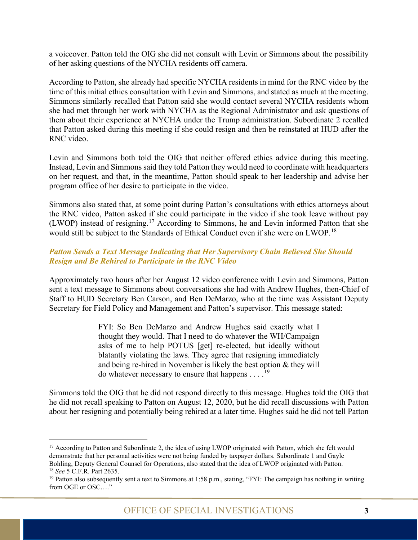a voiceover. Patton told the OIG she did not consult with Levin or Simmons about the possibility of her asking questions of the NYCHA residents off camera.

According to Patton, she already had specific NYCHA residents in mind for the RNC video by the time of this initial ethics consultation with Levin and Simmons, and stated as much at the meeting. Simmons similarly recalled that Patton said she would contact several NYCHA residents whom she had met through her work with NYCHA as the Regional Administrator and ask questions of them about their experience at NYCHA under the Trump administration. Subordinate 2 recalled that Patton asked during this meeting if she could resign and then be reinstated at HUD after the RNC video.

Levin and Simmons both told the OIG that neither offered ethics advice during this meeting. Instead, Levin and Simmons said they told Patton they would need to coordinate with headquarters on her request, and that, in the meantime, Patton should speak to her leadership and advise her program office of her desire to participate in the video.

Simmons also stated that, at some point during Patton's consultations with ethics attorneys about the RNC video, Patton asked if she could participate in the video if she took leave without pay (LWOP) instead of resigning.[17](#page-8-1) According to Simmons, he and Levin informed Patton that she would still be subject to the Standards of Ethical Conduct even if she were on LWOP.<sup>[18](#page-8-2)</sup>

#### <span id="page-8-0"></span>*Patton Sends a Text Message Indicating that Her Supervisory Chain Believed She Should Resign and Be Rehired to Participate in the RNC Video*

Approximately two hours after her August 12 video conference with Levin and Simmons, Patton sent a text message to Simmons about conversations she had with Andrew Hughes, then-Chief of Staff to HUD Secretary Ben Carson, and Ben DeMarzo, who at the time was Assistant Deputy Secretary for Field Policy and Management and Patton's supervisor. This message stated:

> FYI: So Ben DeMarzo and Andrew Hughes said exactly what I thought they would. That I need to do whatever the WH/Campaign asks of me to help POTUS [get] re-elected, but ideally without blatantly violating the laws. They agree that resigning immediately and being re-hired in November is likely the best option & they will do whatever necessary to ensure that happens . . . .<sup>[19](#page-8-3)</sup>

Simmons told the OIG that he did not respond directly to this message. Hughes told the OIG that he did not recall speaking to Patton on August 12, 2020, but he did recall discussions with Patton about her resigning and potentially being rehired at a later time. Hughes said he did not tell Patton

<span id="page-8-1"></span><sup>&</sup>lt;sup>17</sup> According to Patton and Subordinate 2, the idea of using LWOP originated with Patton, which she felt would demonstrate that her personal activities were not being funded by taxpayer dollars. Subordinate 1 and Gayle Bohling, Deputy General Counsel for Operations, also stated that the idea of LWOP originated with Patton. 18 *See* 5 C.F.R. Part 2635.

<span id="page-8-3"></span><span id="page-8-2"></span><sup>&</sup>lt;sup>19</sup> Patton also subsequently sent a text to Simmons at 1:58 p.m., stating, "FYI: The campaign has nothing in writing from OGE or OSC…."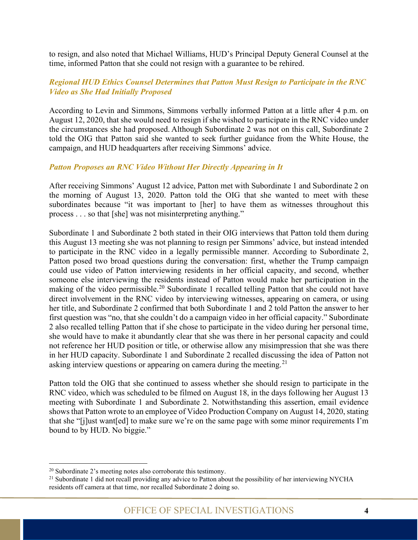to resign, and also noted that Michael Williams, HUD's Principal Deputy General Counsel at the time, informed Patton that she could not resign with a guarantee to be rehired.

#### <span id="page-9-0"></span>*Regional HUD Ethics Counsel Determines that Patton Must Resign to Participate in the RNC Video as She Had Initially Proposed*

According to Levin and Simmons, Simmons verbally informed Patton at a little after 4 p.m. on August 12, 2020, that she would need to resign if she wished to participate in the RNC video under the circumstances she had proposed. Although Subordinate 2 was not on this call, Subordinate 2 told the OIG that Patton said she wanted to seek further guidance from the White House, the campaign, and HUD headquarters after receiving Simmons' advice.

#### <span id="page-9-1"></span>*Patton Proposes an RNC Video Without Her Directly Appearing in It*

After receiving Simmons' August 12 advice, Patton met with Subordinate 1 and Subordinate 2 on the morning of August 13, 2020. Patton told the OIG that she wanted to meet with these subordinates because "it was important to [her] to have them as witnesses throughout this process . . . so that [she] was not misinterpreting anything."

Subordinate 1 and Subordinate 2 both stated in their OIG interviews that Patton told them during this August 13 meeting she was not planning to resign per Simmons' advice, but instead intended to participate in the RNC video in a legally permissible manner. According to Subordinate 2, Patton posed two broad questions during the conversation: first, whether the Trump campaign could use video of Patton interviewing residents in her official capacity, and second, whether someone else interviewing the residents instead of Patton would make her participation in the making of the video permissible.<sup>[20](#page-9-2)</sup> Subordinate 1 recalled telling Patton that she could not have direct involvement in the RNC video by interviewing witnesses, appearing on camera, or using her title, and Subordinate 2 confirmed that both Subordinate 1 and 2 told Patton the answer to her first question was "no, that she couldn't do a campaign video in her official capacity." Subordinate 2 also recalled telling Patton that if she chose to participate in the video during her personal time, she would have to make it abundantly clear that she was there in her personal capacity and could not reference her HUD position or title, or otherwise allow any misimpression that she was there in her HUD capacity. Subordinate 1 and Subordinate 2 recalled discussing the idea of Patton not asking interview questions or appearing on camera during the meeting.<sup>[21](#page-9-3)</sup>

Patton told the OIG that she continued to assess whether she should resign to participate in the RNC video, which was scheduled to be filmed on August 18, in the days following her August 13 meeting with Subordinate 1 and Subordinate 2. Notwithstanding this assertion, email evidence shows that Patton wrote to an employee of Video Production Company on August 14, 2020, stating that she "[j]ust want[ed] to make sure we're on the same page with some minor requirements I'm bound to by HUD. No biggie."

<span id="page-9-3"></span><span id="page-9-2"></span><sup>&</sup>lt;sup>20</sup> Subordinate 2's meeting notes also corroborate this testimony.<br><sup>21</sup> Subordinate 1 did not recall providing any advice to Patton about the possibility of her interviewing NYCHA residents off camera at that time, nor recalled Subordinate 2 doing so.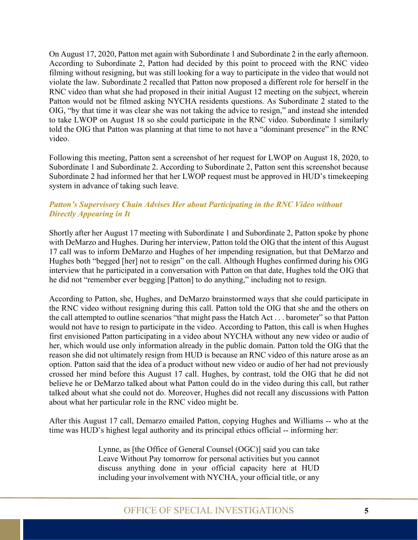On August 17, 2020, Patton met again with Subordinate 1 and Subordinate 2 in the early afternoon. According to Subordinate 2, Patton had decided by this point to proceed with the RNC video filming without resigning, but was still looking for a way to participate in the video that would not violate the law. Subordinate 2 recalled that Patton now proposed a different role for herself in the RNC video than what she had proposed in their initial August 12 meeting on the subject, wherein Patton would not be filmed asking NYCHA residents questions. As Subordinate 2 stated to the OIG, "by that time it was clear she was not taking the advice to resign," and instead she intended to take LWOP on August 18 so she could participate in the RNC video. Subordinate 1 similarly told the OIG that Patton was planning at that time to not have a "dominant presence" in the RNC video.

Following this meeting, Patton sent a screenshot of her request for LWOP on August 18, 2020, to Subordinate 1 and Subordinate 2. According to Subordinate 2, Patton sent this screenshot because Subordinate 2 had informed her that her LWOP request must be approved in HUD's timekeeping system in advance of taking such leave.

#### <span id="page-10-0"></span>*Patton's Supervisory Chain Advises Her about Participating in the RNC Video without Directly Appearing in It*

Shortly after her August 17 meeting with Subordinate 1 and Subordinate 2, Patton spoke by phone with DeMarzo and Hughes. During her interview, Patton told the OIG that the intent of this August 17 call was to inform DeMarzo and Hughes of her impending resignation, but that DeMarzo and Hughes both "begged [her] not to resign" on the call. Although Hughes confirmed during his OIG interview that he participated in a conversation with Patton on that date, Hughes told the OIG that he did not "remember ever begging [Patton] to do anything," including not to resign.

According to Patton, she, Hughes, and DeMarzo brainstormed ways that she could participate in the RNC video without resigning during this call. Patton told the OIG that she and the others on the call attempted to outline scenarios "that might pass the Hatch Act . . . barometer" so that Patton would not have to resign to participate in the video. According to Patton, this call is when Hughes first envisioned Patton participating in a video about NYCHA without any new video or audio of her, which would use only information already in the public domain. Patton told the OIG that the reason she did not ultimately resign from HUD is because an RNC video of this nature arose as an option. Patton said that the idea of a product without new video or audio of her had not previously crossed her mind before this August 17 call. Hughes, by contrast, told the OIG that he did not believe he or DeMarzo talked about what Patton could do in the video during this call, but rather talked about what she could not do. Moreover, Hughes did not recall any discussions with Patton about what her particular role in the RNC video might be.

After this August 17 call, Demarzo emailed Patton, copying Hughes and Williams -- who at the time was HUD's highest legal authority and its principal ethics official -- informing her:

> Lynne, as [the Office of General Counsel (OGC)] said you can take Leave Without Pay tomorrow for personal activities but you cannot discuss anything done in your official capacity here at HUD including your involvement with NYCHA, your official title, or any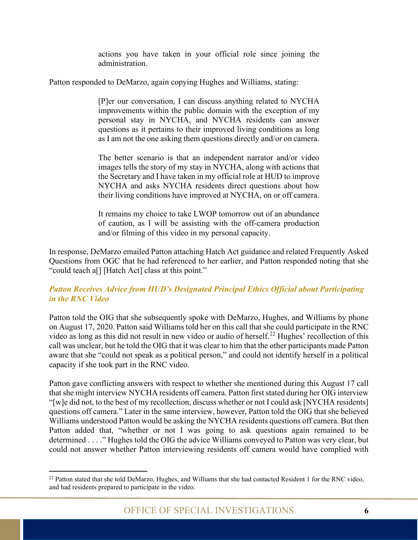actions you have taken in your official role since joining the administration.

Patton responded to DeMarzo, again copying Hughes and Williams, stating:

[P]er our conversation, I can discuss anything related to NYCHA improvements within the public domain with the exception of my personal stay in NYCHA, and NYCHA residents can answer questions as it pertains to their improved living conditions as long as I am not the one asking them questions directly and/or on camera.

The better scenario is that an independent narrator and/or video images tells the story of my stay in NYCHA, along with actions that the Secretary and I have taken in my official role at HUD to improve NYCHA and asks NYCHA residents direct questions about how their living conditions have improved at NYCHA, on or off camera.

It remains my choice to take LWOP tomorrow out of an abundance of caution, as I will be assisting with the off-camera production and/or filming of this video in my personal capacity.

In response, DeMarzo emailed Patton attaching Hatch Act guidance and related Frequently Asked Questions from OGC that he had referenced to her earlier, and Patton responded noting that she "could teach a[] [Hatch Act] class at this point."

#### <span id="page-11-0"></span>*Patton Receives Advice from HUD's Designated Principal Ethics Official about Participating in the RNC Video*

Patton told the OIG that she subsequently spoke with DeMarzo, Hughes, and Williams by phone on August 17, 2020. Patton said Williams told her on this call that she could participate in the RNC video as long as this did not result in new video or audio of herself.<sup>[22](#page-11-1)</sup> Hughes' recollection of this call was unclear, but he told the OIG that it was clear to him that the other participants made Patton aware that she "could not speak as a political person," and could not identify herself in a political capacity if she took part in the RNC video.

Patton gave conflicting answers with respect to whether she mentioned during this August 17 call that she might interview NYCHA residents off camera. Patton first stated during her OIG interview "[w]e did not, to the best of my recollection, discuss whether or not I could ask [NYCHA residents] questions off camera." Later in the same interview, however, Patton told the OIG that she believed Williams understood Patton would be asking the NYCHA residents questions off camera. But then Patton added that, "whether or not I was going to ask questions again remained to be determined . . . ." Hughes told the OIG the advice Williams conveyed to Patton was very clear, but could not answer whether Patton interviewing residents off camera would have complied with

<span id="page-11-1"></span><sup>&</sup>lt;sup>22</sup> Patton stated that she told DeMarzo, Hughes, and Williams that she had contacted Resident 1 for the RNC video, and had residents prepared to participate in the video.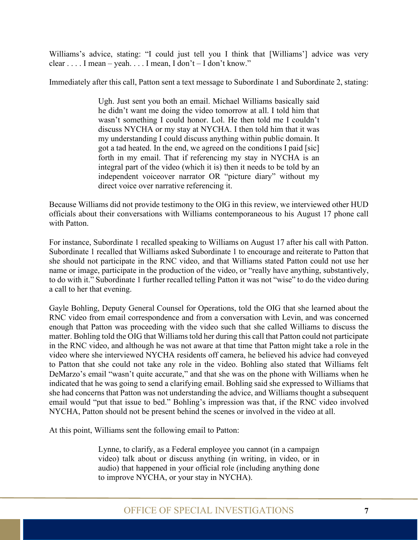Williams's advice, stating: "I could just tell you I think that [Williams'] advice was very clear . . . . I mean – yeah. . . . I mean, I don't – I don't know."

Immediately after this call, Patton sent a text message to Subordinate 1 and Subordinate 2, stating:

Ugh. Just sent you both an email. Michael Williams basically said he didn't want me doing the video tomorrow at all. I told him that wasn't something I could honor. Lol. He then told me I couldn't discuss NYCHA or my stay at NYCHA. I then told him that it was my understanding I could discuss anything within public domain. It got a tad heated. In the end, we agreed on the conditions I paid [sic] forth in my email. That if referencing my stay in NYCHA is an integral part of the video (which it is) then it needs to be told by an independent voiceover narrator OR "picture diary" without my direct voice over narrative referencing it.

Because Williams did not provide testimony to the OIG in this review, we interviewed other HUD officials about their conversations with Williams contemporaneous to his August 17 phone call with Patton.

For instance, Subordinate 1 recalled speaking to Williams on August 17 after his call with Patton. Subordinate 1 recalled that Williams asked Subordinate 1 to encourage and reiterate to Patton that she should not participate in the RNC video, and that Williams stated Patton could not use her name or image, participate in the production of the video, or "really have anything, substantively, to do with it." Subordinate 1 further recalled telling Patton it was not "wise" to do the video during a call to her that evening.

Gayle Bohling, Deputy General Counsel for Operations, told the OIG that she learned about the RNC video from email correspondence and from a conversation with Levin, and was concerned enough that Patton was proceeding with the video such that she called Williams to discuss the matter. Bohling told the OIG that Williams told her during this call that Patton could not participate in the RNC video, and although he was not aware at that time that Patton might take a role in the video where she interviewed NYCHA residents off camera, he believed his advice had conveyed to Patton that she could not take any role in the video. Bohling also stated that Williams felt DeMarzo's email "wasn't quite accurate," and that she was on the phone with Williams when he indicated that he was going to send a clarifying email. Bohling said she expressed to Williams that she had concerns that Patton was not understanding the advice, and Williams thought a subsequent email would "put that issue to bed." Bohling's impression was that, if the RNC video involved NYCHA, Patton should not be present behind the scenes or involved in the video at all.

At this point, Williams sent the following email to Patton:

Lynne, to clarify, as a Federal employee you cannot (in a campaign video) talk about or discuss anything (in writing, in video, or in audio) that happened in your official role (including anything done to improve NYCHA, or your stay in NYCHA).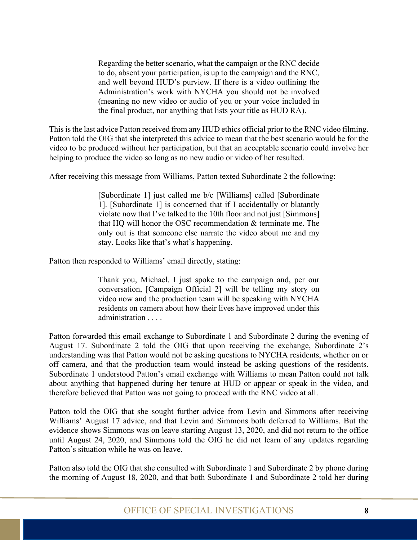Regarding the better scenario, what the campaign or the RNC decide to do, absent your participation, is up to the campaign and the RNC, and well beyond HUD's purview. If there is a video outlining the Administration's work with NYCHA you should not be involved (meaning no new video or audio of you or your voice included in the final product, nor anything that lists your title as HUD RA).

This is the last advice Patton received from any HUD ethics official prior to the RNC video filming. Patton told the OIG that she interpreted this advice to mean that the best scenario would be for the video to be produced without her participation, but that an acceptable scenario could involve her helping to produce the video so long as no new audio or video of her resulted.

After receiving this message from Williams, Patton texted Subordinate 2 the following:

[Subordinate 1] just called me b/c [Williams] called [Subordinate 1]. [Subordinate 1] is concerned that if I accidentally or blatantly violate now that I've talked to the 10th floor and not just [Simmons] that HQ will honor the OSC recommendation & terminate me. The only out is that someone else narrate the video about me and my stay. Looks like that's what's happening.

Patton then responded to Williams' email directly, stating:

Thank you, Michael. I just spoke to the campaign and, per our conversation, [Campaign Official 2] will be telling my story on video now and the production team will be speaking with NYCHA residents on camera about how their lives have improved under this administration . . . .

Patton forwarded this email exchange to Subordinate 1 and Subordinate 2 during the evening of August 17. Subordinate 2 told the OIG that upon receiving the exchange, Subordinate 2's understanding was that Patton would not be asking questions to NYCHA residents, whether on or off camera, and that the production team would instead be asking questions of the residents. Subordinate 1 understood Patton's email exchange with Williams to mean Patton could not talk about anything that happened during her tenure at HUD or appear or speak in the video, and therefore believed that Patton was not going to proceed with the RNC video at all.

Patton told the OIG that she sought further advice from Levin and Simmons after receiving Williams' August 17 advice, and that Levin and Simmons both deferred to Williams. But the evidence shows Simmons was on leave starting August 13, 2020, and did not return to the office until August 24, 2020, and Simmons told the OIG he did not learn of any updates regarding Patton's situation while he was on leave.

Patton also told the OIG that she consulted with Subordinate 1 and Subordinate 2 by phone during the morning of August 18, 2020, and that both Subordinate 1 and Subordinate 2 told her during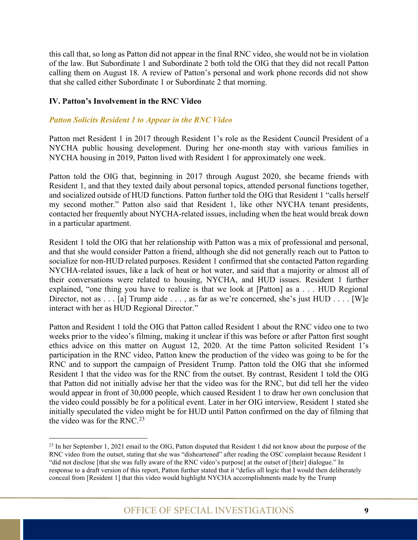this call that, so long as Patton did not appear in the final RNC video, she would not be in violation of the law. But Subordinate 1 and Subordinate 2 both told the OIG that they did not recall Patton calling them on August 18. A review of Patton's personal and work phone records did not show that she called either Subordinate 1 or Subordinate 2 that morning.

#### <span id="page-14-0"></span>**IV. Patton's Involvement in the RNC Video**

#### <span id="page-14-1"></span>*Patton Solicits Resident 1 to Appear in the RNC Video*

Patton met Resident 1 in 2017 through Resident 1's role as the Resident Council President of a NYCHA public housing development. During her one-month stay with various families in NYCHA housing in 2019, Patton lived with Resident 1 for approximately one week.

Patton told the OIG that, beginning in 2017 through August 2020, she became friends with Resident 1, and that they texted daily about personal topics, attended personal functions together, and socialized outside of HUD functions. Patton further told the OIG that Resident 1 "calls herself my second mother." Patton also said that Resident 1, like other NYCHA tenant presidents, contacted her frequently about NYCHA-related issues, including when the heat would break down in a particular apartment.

Resident 1 told the OIG that her relationship with Patton was a mix of professional and personal, and that she would consider Patton a friend, although she did not generally reach out to Patton to socialize for non-HUD related purposes. Resident 1 confirmed that she contacted Patton regarding NYCHA-related issues, like a lack of heat or hot water, and said that a majority or almost all of their conversations were related to housing, NYCHA, and HUD issues. Resident 1 further explained, "one thing you have to realize is that we look at [Patton] as a . . . HUD Regional Director, not as . . . [a] Trump aide . . . , as far as we're concerned, she's just HUD . . . . [W]e interact with her as HUD Regional Director."

Patton and Resident 1 told the OIG that Patton called Resident 1 about the RNC video one to two weeks prior to the video's filming, making it unclear if this was before or after Patton first sought ethics advice on this matter on August 12, 2020. At the time Patton solicited Resident 1's participation in the RNC video, Patton knew the production of the video was going to be for the RNC and to support the campaign of President Trump. Patton told the OIG that she informed Resident 1 that the video was for the RNC from the outset. By contrast, Resident 1 told the OIG that Patton did not initially advise her that the video was for the RNC, but did tell her the video would appear in front of 30,000 people, which caused Resident 1 to draw her own conclusion that the video could possibly be for a political event. Later in her OIG interview, Resident 1 stated she initially speculated the video might be for HUD until Patton confirmed on the day of filming that the video was for the RNC.<sup>[23](#page-14-2)</sup>

<span id="page-14-2"></span><sup>&</sup>lt;sup>23</sup> In her September 1, 2021 email to the OIG, Patton disputed that Resident 1 did not know about the purpose of the RNC video from the outset, stating that she was "disheartened" after reading the OSC complaint because Resident 1 "did not disclose [that she was fully aware of the RNC video's purpose] at the outset of [their] dialogue." In response to a draft version of this report, Patton further stated that it "defies all logic that I would then deliberately conceal from [Resident 1] that this video would highlight NYCHA accomplishments made by the Trump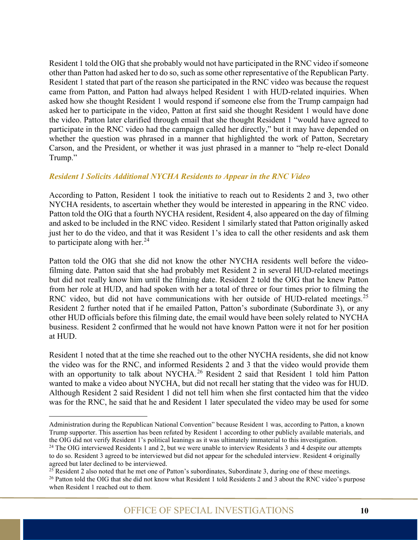Resident 1 told the OIG that she probably would not have participated in the RNC video if someone other than Patton had asked her to do so, such as some other representative of the Republican Party. Resident 1 stated that part of the reason she participated in the RNC video was because the request came from Patton, and Patton had always helped Resident 1 with HUD-related inquiries. When asked how she thought Resident 1 would respond if someone else from the Trump campaign had asked her to participate in the video, Patton at first said she thought Resident 1 would have done the video. Patton later clarified through email that she thought Resident 1 "would have agreed to participate in the RNC video had the campaign called her directly," but it may have depended on whether the question was phrased in a manner that highlighted the work of Patton, Secretary Carson, and the President, or whether it was just phrased in a manner to "help re-elect Donald Trump."

#### <span id="page-15-0"></span>*Resident 1 Solicits Additional NYCHA Residents to Appear in the RNC Video*

According to Patton, Resident 1 took the initiative to reach out to Residents 2 and 3, two other NYCHA residents, to ascertain whether they would be interested in appearing in the RNC video. Patton told the OIG that a fourth NYCHA resident, Resident 4, also appeared on the day of filming and asked to be included in the RNC video. Resident 1 similarly stated that Patton originally asked just her to do the video, and that it was Resident 1's idea to call the other residents and ask them to participate along with her. $^{24}$  $^{24}$  $^{24}$ 

Patton told the OIG that she did not know the other NYCHA residents well before the videofilming date. Patton said that she had probably met Resident 2 in several HUD-related meetings but did not really know him until the filming date. Resident 2 told the OIG that he knew Patton from her role at HUD, and had spoken with her a total of three or four times prior to filming the RNC video, but did not have communications with her outside of HUD-related meetings.<sup>[25](#page-15-2)</sup> Resident 2 further noted that if he emailed Patton, Patton's subordinate (Subordinate 3), or any other HUD officials before this filming date, the email would have been solely related to NYCHA business. Resident 2 confirmed that he would not have known Patton were it not for her position at HUD.

Resident 1 noted that at the time she reached out to the other NYCHA residents, she did not know the video was for the RNC, and informed Residents 2 and 3 that the video would provide them with an opportunity to talk about NYCHA.<sup>[26](#page-15-3)</sup> Resident 2 said that Resident 1 told him Patton wanted to make a video about NYCHA, but did not recall her stating that the video was for HUD. Although Resident 2 said Resident 1 did not tell him when she first contacted him that the video was for the RNC, he said that he and Resident 1 later speculated the video may be used for some

Administration during the Republican National Convention" because Resident 1 was, according to Patton, a known Trump supporter. This assertion has been refuted by Resident 1 according to other publicly available materials, and the OIG did not verify Resident 1's political leanings as it was ultimately immaterial to this investigation.

<span id="page-15-1"></span><sup>&</sup>lt;sup>24</sup> The OIG interviewed Residents 1 and 2, but we were unable to interview Residents 3 and 4 despite our attempts to do so. Resident 3 agreed to be interviewed but did not appear for the scheduled interview. Resident 4 originally agreed but later declined to be interviewed.<br><sup>25</sup> Resident 2 also noted that he met one of Patton's subordinates, Subordinate 3, during one of these meetings.

<span id="page-15-2"></span>

<span id="page-15-3"></span><sup>&</sup>lt;sup>26</sup> Patton told the OIG that she did not know what Resident 1 told Residents 2 and 3 about the RNC video's purpose when Resident 1 reached out to them.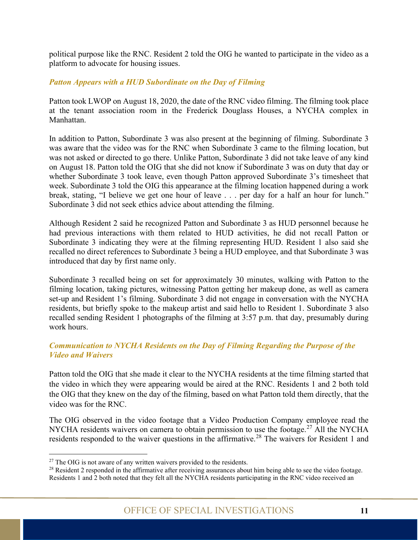political purpose like the RNC. Resident 2 told the OIG he wanted to participate in the video as a platform to advocate for housing issues.

#### <span id="page-16-0"></span>*Patton Appears with a HUD Subordinate on the Day of Filming*

Patton took LWOP on August 18, 2020, the date of the RNC video filming. The filming took place at the tenant association room in the Frederick Douglass Houses, a NYCHA complex in Manhattan.

In addition to Patton, Subordinate 3 was also present at the beginning of filming. Subordinate 3 was aware that the video was for the RNC when Subordinate 3 came to the filming location, but was not asked or directed to go there. Unlike Patton, Subordinate 3 did not take leave of any kind on August 18. Patton told the OIG that she did not know if Subordinate 3 was on duty that day or whether Subordinate 3 took leave, even though Patton approved Subordinate 3's timesheet that week. Subordinate 3 told the OIG this appearance at the filming location happened during a work break, stating, "I believe we get one hour of leave . . . per day for a half an hour for lunch." Subordinate 3 did not seek ethics advice about attending the filming.

Although Resident 2 said he recognized Patton and Subordinate 3 as HUD personnel because he had previous interactions with them related to HUD activities, he did not recall Patton or Subordinate 3 indicating they were at the filming representing HUD. Resident 1 also said she recalled no direct references to Subordinate 3 being a HUD employee, and that Subordinate 3 was introduced that day by first name only.

Subordinate 3 recalled being on set for approximately 30 minutes, walking with Patton to the filming location, taking pictures, witnessing Patton getting her makeup done, as well as camera set-up and Resident 1's filming. Subordinate 3 did not engage in conversation with the NYCHA residents, but briefly spoke to the makeup artist and said hello to Resident 1. Subordinate 3 also recalled sending Resident 1 photographs of the filming at 3:57 p.m. that day, presumably during work hours.

#### <span id="page-16-1"></span>*Communication to NYCHA Residents on the Day of Filming Regarding the Purpose of the Video and Waivers*

Patton told the OIG that she made it clear to the NYCHA residents at the time filming started that the video in which they were appearing would be aired at the RNC. Residents 1 and 2 both told the OIG that they knew on the day of the filming, based on what Patton told them directly, that the video was for the RNC.

The OIG observed in the video footage that a Video Production Company employee read the NYCHA residents waivers on camera to obtain permission to use the footage.<sup>[27](#page-16-2)</sup> All the NYCHA residents responded to the waiver questions in the affirmative.<sup>[28](#page-16-3)</sup> The waivers for Resident 1 and

<span id="page-16-2"></span> $27$  The OIG is not aware of any written waivers provided to the residents.

<span id="page-16-3"></span> $28$  Resident 2 responded in the affirmative after receiving assurances about him being able to see the video footage. Residents 1 and 2 both noted that they felt all the NYCHA residents participating in the RNC video received an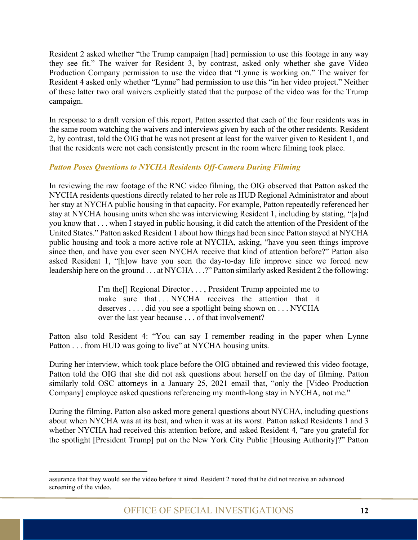Resident 2 asked whether "the Trump campaign [had] permission to use this footage in any way they see fit." The waiver for Resident 3, by contrast, asked only whether she gave Video Production Company permission to use the video that "Lynne is working on." The waiver for Resident 4 asked only whether "Lynne" had permission to use this "in her video project." Neither of these latter two oral waivers explicitly stated that the purpose of the video was for the Trump campaign.

In response to a draft version of this report, Patton asserted that each of the four residents was in the same room watching the waivers and interviews given by each of the other residents. Resident 2, by contrast, told the OIG that he was not present at least for the waiver given to Resident 1, and that the residents were not each consistently present in the room where filming took place.

#### <span id="page-17-0"></span>*Patton Poses Questions to NYCHA Residents Off-Camera During Filming*

In reviewing the raw footage of the RNC video filming, the OIG observed that Patton asked the NYCHA residents questions directly related to her role as HUD Regional Administrator and about her stay at NYCHA public housing in that capacity. For example, Patton repeatedly referenced her stay at NYCHA housing units when she was interviewing Resident 1, including by stating, "[a]nd you know that . . . when I stayed in public housing, it did catch the attention of the President of the United States." Patton asked Resident 1 about how things had been since Patton stayed at NYCHA public housing and took a more active role at NYCHA, asking, "have you seen things improve since then, and have you ever seen NYCHA receive that kind of attention before?" Patton also asked Resident 1, "[h]ow have you seen the day-to-day life improve since we forced new leadership here on the ground . . . at NYCHA . . .?" Patton similarly asked Resident 2 the following:

> I'm the[] Regional Director . . . , President Trump appointed me to make sure that . . . NYCHA receives the attention that it deserves . . . . did you see a spotlight being shown on . . . NYCHA over the last year because . . . of that involvement?

Patton also told Resident 4: "You can say I remember reading in the paper when Lynne Patton . . . from HUD was going to live" at NYCHA housing units.

During her interview, which took place before the OIG obtained and reviewed this video footage, Patton told the OIG that she did not ask questions about herself on the day of filming. Patton similarly told OSC attorneys in a January 25, 2021 email that, "only the [Video Production Company] employee asked questions referencing my month-long stay in NYCHA, not me."

During the filming, Patton also asked more general questions about NYCHA, including questions about when NYCHA was at its best, and when it was at its worst. Patton asked Residents 1 and 3 whether NYCHA had received this attention before, and asked Resident 4, "are you grateful for the spotlight [President Trump] put on the New York City Public [Housing Authority]?" Patton

assurance that they would see the video before it aired. Resident 2 noted that he did not receive an advanced screening of the video.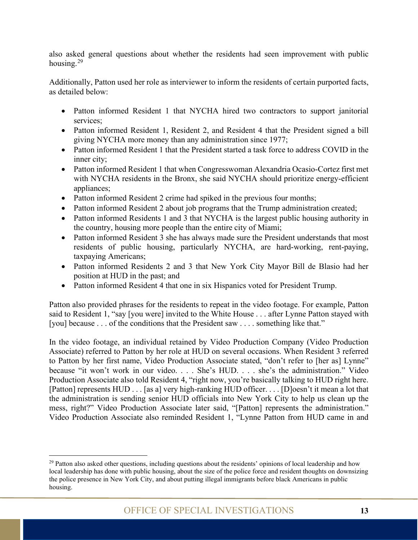also asked general questions about whether the residents had seen improvement with public housing. $29$ 

Additionally, Patton used her role as interviewer to inform the residents of certain purported facts, as detailed below:

- Patton informed Resident 1 that NYCHA hired two contractors to support janitorial services;
- Patton informed Resident 1, Resident 2, and Resident 4 that the President signed a bill giving NYCHA more money than any administration since 1977;
- Patton informed Resident 1 that the President started a task force to address COVID in the inner city;
- Patton informed Resident 1 that when Congresswoman Alexandria Ocasio-Cortez first met with NYCHA residents in the Bronx, she said NYCHA should prioritize energy-efficient appliances;
- Patton informed Resident 2 crime had spiked in the previous four months;
- Patton informed Resident 2 about job programs that the Trump administration created;
- Patton informed Residents 1 and 3 that NYCHA is the largest public housing authority in the country, housing more people than the entire city of Miami;
- Patton informed Resident 3 she has always made sure the President understands that most residents of public housing, particularly NYCHA, are hard-working, rent-paying, taxpaying Americans;
- Patton informed Residents 2 and 3 that New York City Mayor Bill de Blasio had her position at HUD in the past; and
- Patton informed Resident 4 that one in six Hispanics voted for President Trump.

Patton also provided phrases for the residents to repeat in the video footage. For example, Patton said to Resident 1, "say [you were] invited to the White House . . . after Lynne Patton stayed with [you] because . . . of the conditions that the President saw . . . . something like that."

In the video footage, an individual retained by Video Production Company (Video Production Associate) referred to Patton by her role at HUD on several occasions. When Resident 3 referred to Patton by her first name, Video Production Associate stated, "don't refer to [her as] Lynne" because "it won't work in our video. . . . She's HUD. . . . she's the administration." Video Production Associate also told Resident 4, "right now, you're basically talking to HUD right here. [Patton] represents HUD . . . [as a] very high-ranking HUD officer. . . . [D]oesn't it mean a lot that the administration is sending senior HUD officials into New York City to help us clean up the mess, right?" Video Production Associate later said, "[Patton] represents the administration." Video Production Associate also reminded Resident 1, "Lynne Patton from HUD came in and

<span id="page-18-0"></span> $^{29}$  Patton also asked other questions, including questions about the residents' opinions of local leadership and how local leadership has done with public housing, about the size of the police force and resident thoughts on downsizing the police presence in New York City, and about putting illegal immigrants before black Americans in public housing.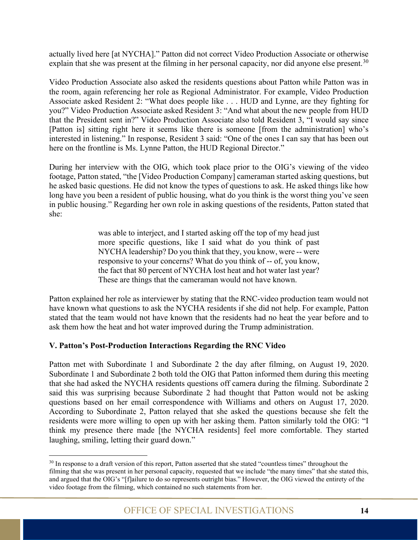actually lived here [at NYCHA]." Patton did not correct Video Production Associate or otherwise explain that she was present at the filming in her personal capacity, nor did anyone else present.<sup>[30](#page-19-1)</sup>

Video Production Associate also asked the residents questions about Patton while Patton was in the room, again referencing her role as Regional Administrator. For example, Video Production Associate asked Resident 2: "What does people like . . . HUD and Lynne, are they fighting for you?" Video Production Associate asked Resident 3: "And what about the new people from HUD that the President sent in?" Video Production Associate also told Resident 3, "I would say since [Patton is] sitting right here it seems like there is someone [from the administration] who's interested in listening." In response, Resident 3 said: "One of the ones I can say that has been out here on the frontline is Ms. Lynne Patton, the HUD Regional Director."

During her interview with the OIG, which took place prior to the OIG's viewing of the video footage, Patton stated, "the [Video Production Company] cameraman started asking questions, but he asked basic questions. He did not know the types of questions to ask. He asked things like how long have you been a resident of public housing, what do you think is the worst thing you've seen in public housing." Regarding her own role in asking questions of the residents, Patton stated that she:

> was able to interject, and I started asking off the top of my head just more specific questions, like I said what do you think of past NYCHA leadership? Do you think that they, you know, were -- were responsive to your concerns? What do you think of -- of, you know, the fact that 80 percent of NYCHA lost heat and hot water last year? These are things that the cameraman would not have known.

Patton explained her role as interviewer by stating that the RNC-video production team would not have known what questions to ask the NYCHA residents if she did not help. For example, Patton stated that the team would not have known that the residents had no heat the year before and to ask them how the heat and hot water improved during the Trump administration.

#### <span id="page-19-0"></span>**V. Patton's Post-Production Interactions Regarding the RNC Video**

Patton met with Subordinate 1 and Subordinate 2 the day after filming, on August 19, 2020. Subordinate 1 and Subordinate 2 both told the OIG that Patton informed them during this meeting that she had asked the NYCHA residents questions off camera during the filming. Subordinate 2 said this was surprising because Subordinate 2 had thought that Patton would not be asking questions based on her email correspondence with Williams and others on August 17, 2020. According to Subordinate 2, Patton relayed that she asked the questions because she felt the residents were more willing to open up with her asking them. Patton similarly told the OIG: "I think my presence there made [the NYCHA residents] feel more comfortable. They started laughing, smiling, letting their guard down."

<span id="page-19-1"></span><sup>&</sup>lt;sup>30</sup> In response to a draft version of this report, Patton asserted that she stated "countless times" throughout the filming that she was present in her personal capacity, requested that we include "the many times" that she stated this, and argued that the OIG's "[f]ailure to do so represents outright bias." However, the OIG viewed the entirety of the video footage from the filming, which contained no such statements from her.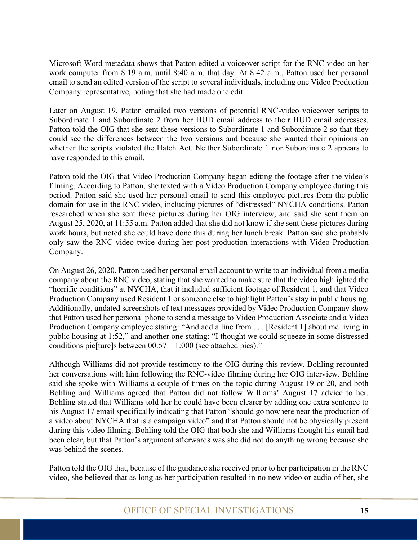Microsoft Word metadata shows that Patton edited a voiceover script for the RNC video on her work computer from 8:19 a.m. until 8:40 a.m. that day. At 8:42 a.m., Patton used her personal email to send an edited version of the script to several individuals, including one Video Production Company representative, noting that she had made one edit.

Later on August 19, Patton emailed two versions of potential RNC-video voiceover scripts to Subordinate 1 and Subordinate 2 from her HUD email address to their HUD email addresses. Patton told the OIG that she sent these versions to Subordinate 1 and Subordinate 2 so that they could see the differences between the two versions and because she wanted their opinions on whether the scripts violated the Hatch Act. Neither Subordinate 1 nor Subordinate 2 appears to have responded to this email.

Patton told the OIG that Video Production Company began editing the footage after the video's filming. According to Patton, she texted with a Video Production Company employee during this period. Patton said she used her personal email to send this employee pictures from the public domain for use in the RNC video, including pictures of "distressed" NYCHA conditions. Patton researched when she sent these pictures during her OIG interview, and said she sent them on August 25, 2020, at 11:55 a.m. Patton added that she did not know if she sent these pictures during work hours, but noted she could have done this during her lunch break. Patton said she probably only saw the RNC video twice during her post-production interactions with Video Production Company.

On August 26, 2020, Patton used her personal email account to write to an individual from a media company about the RNC video, stating that she wanted to make sure that the video highlighted the "horrific conditions" at NYCHA, that it included sufficient footage of Resident 1, and that Video Production Company used Resident 1 or someone else to highlight Patton's stay in public housing. Additionally, undated screenshots of text messages provided by Video Production Company show that Patton used her personal phone to send a message to Video Production Associate and a Video Production Company employee stating: "And add a line from . . . [Resident 1] about me living in public housing at 1:52," and another one stating: "I thought we could squeeze in some distressed conditions pic[ture]s between  $00:57 - 1:000$  (see attached pics)."

Although Williams did not provide testimony to the OIG during this review, Bohling recounted her conversations with him following the RNC-video filming during her OIG interview. Bohling said she spoke with Williams a couple of times on the topic during August 19 or 20, and both Bohling and Williams agreed that Patton did not follow Williams' August 17 advice to her. Bohling stated that Williams told her he could have been clearer by adding one extra sentence to his August 17 email specifically indicating that Patton "should go nowhere near the production of a video about NYCHA that is a campaign video" and that Patton should not be physically present during this video filming. Bohling told the OIG that both she and Williams thought his email had been clear, but that Patton's argument afterwards was she did not do anything wrong because she was behind the scenes.

Patton told the OIG that, because of the guidance she received prior to her participation in the RNC video, she believed that as long as her participation resulted in no new video or audio of her, she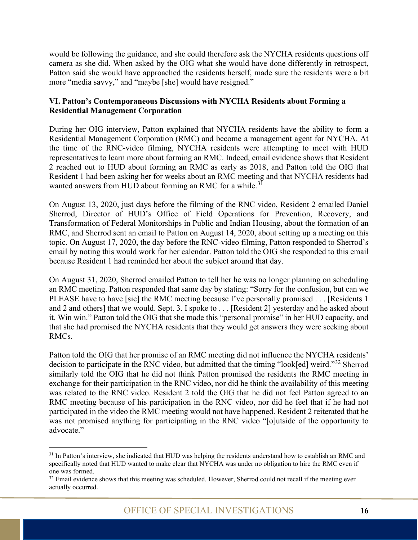would be following the guidance, and she could therefore ask the NYCHA residents questions off camera as she did. When asked by the OIG what she would have done differently in retrospect, Patton said she would have approached the residents herself, made sure the residents were a bit more "media savvy," and "maybe [she] would have resigned."

#### <span id="page-21-0"></span>**VI. Patton's Contemporaneous Discussions with NYCHA Residents about Forming a Residential Management Corporation**

During her OIG interview, Patton explained that NYCHA residents have the ability to form a Residential Management Corporation (RMC) and become a management agent for NYCHA. At the time of the RNC-video filming, NYCHA residents were attempting to meet with HUD representatives to learn more about forming an RMC. Indeed, email evidence shows that Resident 2 reached out to HUD about forming an RMC as early as 2018, and Patton told the OIG that Resident 1 had been asking her for weeks about an RMC meeting and that NYCHA residents had wanted answers from HUD about forming an RMC for a while.<sup>[31](#page-21-1)</sup>

On August 13, 2020, just days before the filming of the RNC video, Resident 2 emailed Daniel Sherrod, Director of HUD's Office of Field Operations for Prevention, Recovery, and Transformation of Federal Monitorships in Public and Indian Housing, about the formation of an RMC, and Sherrod sent an email to Patton on August 14, 2020, about setting up a meeting on this topic. On August 17, 2020, the day before the RNC-video filming, Patton responded to Sherrod's email by noting this would work for her calendar. Patton told the OIG she responded to this email because Resident 1 had reminded her about the subject around that day.

On August 31, 2020, Sherrod emailed Patton to tell her he was no longer planning on scheduling an RMC meeting. Patton responded that same day by stating: "Sorry for the confusion, but can we PLEASE have to have [sic] the RMC meeting because I've personally promised . . . [Residents 1] and 2 and others] that we would. Sept. 3. I spoke to . . . [Resident 2] yesterday and he asked about it. Win win." Patton told the OIG that she made this "personal promise" in her HUD capacity, and that she had promised the NYCHA residents that they would get answers they were seeking about RMCs.

Patton told the OIG that her promise of an RMC meeting did not influence the NYCHA residents' decision to participate in the RNC video, but admitted that the timing "look[ed] weird."[32](#page-21-2) Sherrod similarly told the OIG that he did not think Patton promised the residents the RMC meeting in exchange for their participation in the RNC video, nor did he think the availability of this meeting was related to the RNC video. Resident 2 told the OIG that he did not feel Patton agreed to an RMC meeting because of his participation in the RNC video, nor did he feel that if he had not participated in the video the RMC meeting would not have happened. Resident 2 reiterated that he was not promised anything for participating in the RNC video "[o]utside of the opportunity to advocate."

<span id="page-21-1"></span><sup>&</sup>lt;sup>31</sup> In Patton's interview, she indicated that HUD was helping the residents understand how to establish an RMC and specifically noted that HUD wanted to make clear that NYCHA was under no obligation to hire the RMC even if one was formed.

<span id="page-21-2"></span><sup>&</sup>lt;sup>32</sup> Email evidence shows that this meeting was scheduled. However, Sherrod could not recall if the meeting ever actually occurred.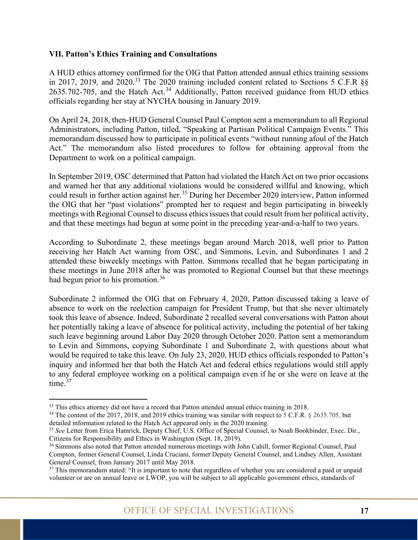#### <span id="page-22-0"></span>**VII. Patton's Ethics Training and Consultations**

A HUD ethics attorney confirmed for the OIG that Patton attended annual ethics training sessions in 2017, 2019, and 2020.<sup>[33](#page-22-1)</sup> The 2020 training included content related to Sections 5 C.F.R  $\S$  $2635.702$ -705, and the Hatch Act.<sup>[34](#page-22-2)</sup> Additionally, Patton received guidance from HUD ethics officials regarding her stay at NYCHA housing in January 2019.

On April 24, 2018, then-HUD General Counsel Paul Compton sent a memorandum to all Regional Administrators, including Patton, titled, "Speaking at Partisan Political Campaign Events." This memorandum discussed how to participate in political events "without running afoul of the Hatch Act." The memorandum also listed procedures to follow for obtaining approval from the Department to work on a political campaign.

In September 2019, OSC determined that Patton had violated the Hatch Act on two prior occasions and warned her that any additional violations would be considered willful and knowing, which could result in further action against her.<sup>[35](#page-22-3)</sup> During her December 2020 interview, Patton informed the OIG that her "past violations" prompted her to request and begin participating in biweekly meetings with Regional Counsel to discuss ethics issues that could result from her political activity, and that these meetings had begun at some point in the preceding year-and-a-half to two years.

According to Subordinate 2, these meetings began around March 2018, well prior to Patton receiving her Hatch Act warning from OSC, and Simmons, Levin, and Subordinates 1 and 2 attended these biweekly meetings with Patton. Simmons recalled that he began participating in these meetings in June 2018 after he was promoted to Regional Counsel but that these meetings had begun prior to his promotion.<sup>[36](#page-22-4)</sup>

Subordinate 2 informed the OIG that on February 4, 2020, Patton discussed taking a leave of absence to work on the reelection campaign for President Trump, but that she never ultimately took this leave of absence. Indeed, Subordinate 2 recalled several conversations with Patton about her potentially taking a leave of absence for political activity, including the potential of her taking such leave beginning around Labor Day 2020 through October 2020. Patton sent a memorandum to Levin and Simmons, copying Subordinate 1 and Subordinate 2, with questions about what would be required to take this leave. On July 23, 2020, HUD ethics officials responded to Patton's inquiry and informed her that both the Hatch Act and federal ethics regulations would still apply to any federal employee working on a political campaign even if he or she were on leave at the time.<sup>[37](#page-22-5)</sup>

<span id="page-22-2"></span><span id="page-22-1"></span><sup>&</sup>lt;sup>33</sup> This ethics attorney did not have a record that Patton attended annual ethics training in 2018.<br><sup>34</sup> The content of the 2017, 2018, and 2019 ethics training was similar with respect to 5 C.F.R. § 2635.705, but detailed information related to the Hatch Act appeared only in the 2020 training.

<span id="page-22-3"></span><sup>35</sup> *See* Letter from Erica Hamrick, Deputy Chief, U.S. Office of Special Counsel, to Noah Bookbinder, Exec. Dir., Citizens for Responsibility and Ethics in Washington [\(Sept. 18,](file://hudoig.gov/public/HUDShare/OSI/Shared/Patton/A-%20Background%20Documents/d-%20other/Ltr-to-CREW-re-Patton.pdf) 2019).

<span id="page-22-4"></span><sup>36</sup> Simmons also noted that Patton attended numerous meetings with John Cahill, former Regional Counsel, Paul Compton, former General Counsel, Linda Cruciani, former Deputy General Counsel, and Lindsey Allen, Assistant General Counsel, from January 2017 until May 2018.

<span id="page-22-5"></span><sup>&</sup>lt;sup>37</sup> This memorandum stated: "It is important to note that regardless of whether you are considered a paid or unpaid volunteer or are on annual leave or LWOP, you will be subject to all applicable government ethics, standards of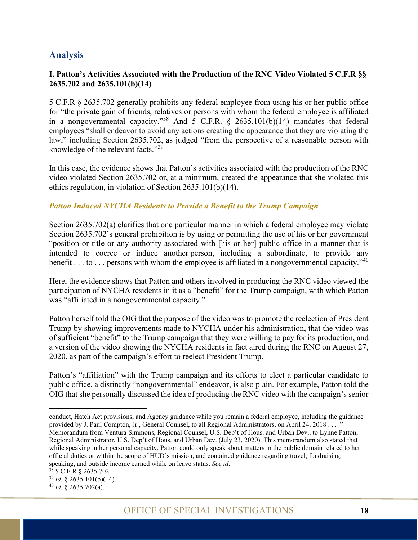#### <span id="page-23-0"></span>**Analysis**

#### <span id="page-23-1"></span>**I. Patton's Activities Associated with the Production of the RNC Video Violated 5 C.F.R §§ 2635.702 and 2635.101(b)(14)**

5 C.F.R § 2635.702 generally prohibits any federal employee from using his or her public office for "the private gain of friends, relatives or persons with whom the federal employee is affiliated in a nongovernmental capacity."<sup>[38](#page-23-3)</sup> And  $\overline{5}$  C.F.R. § 2635.101(b)(14) mandates that federal employees "shall endeavor to avoid any actions creating the appearance that they are violating the law," including Section 2635.702, as judged "from the perspective of a reasonable person with knowledge of the relevant facts."<sup>[39](#page-23-4)</sup>

In this case, the evidence shows that Patton's activities associated with the production of the RNC video violated Section 2635.702 or, at a minimum, created the appearance that she violated this ethics regulation, in violation of Section 2635.101(b)(14).

#### <span id="page-23-2"></span>*Patton Induced NYCHA Residents to Provide a Benefit to the Trump Campaign*

Section 2635.702(a) clarifies that one particular manner in which a federal employee may violate Section 2635.702's general prohibition is by using or permitting the use of his or her government "position or title or any authority associated with [his or her] public office in a manner that is intended to coerce or induce another person, including a subordinate, to provide any benefit . . . to . . . persons with whom the employee is affiliated in a nongovernmental capacity."<sup>[40](#page-23-5)</sup>

Here, the evidence shows that Patton and others involved in producing the RNC video viewed the participation of NYCHA residents in it as a "benefit" for the Trump campaign, with which Patton was "affiliated in a nongovernmental capacity."

Patton herself told the OIG that the purpose of the video was to promote the reelection of President Trump by showing improvements made to NYCHA under his administration, that the video was of sufficient "benefit" to the Trump campaign that they were willing to pay for its production, and a version of the video showing the NYCHA residents in fact aired during the RNC on August 27, 2020, as part of the campaign's effort to reelect President Trump.

Patton's "affiliation" with the Trump campaign and its efforts to elect a particular candidate to public office, a distinctly "nongovernmental" endeavor, is also plain. For example, Patton told the OIG that she personally discussed the idea of producing the RNC video with the campaign's senior

conduct, Hatch Act provisions, and Agency guidance while you remain a federal employee, including the guidance provided by J. Paul Compton, Jr., General Counsel, to all Regional Administrators, on April 24, 2018 . . . ." Memorandum from Ventura Simmons, Regional Counsel, U.S. Dep't of Hous. and Urban Dev., to Lynne Patton, Regional Administrator, U.S. Dep't of Hous. and Urban Dev. (July 23, 2020). This memorandum also stated that while speaking in her personal capacity, Patton could only speak about matters in the public domain related to her official duties or within the scope of HUD's mission, and contained guidance regarding travel, fundraising, speaking, and outside income earned while on leave status. *See id*.

<span id="page-23-4"></span><span id="page-23-3"></span><sup>38</sup> 5 C.F.R § 2635.702.

<sup>39</sup> *Id.* § 2635.101(b)(14).

<span id="page-23-5"></span><sup>40</sup> *Id.* § 2635.702(a).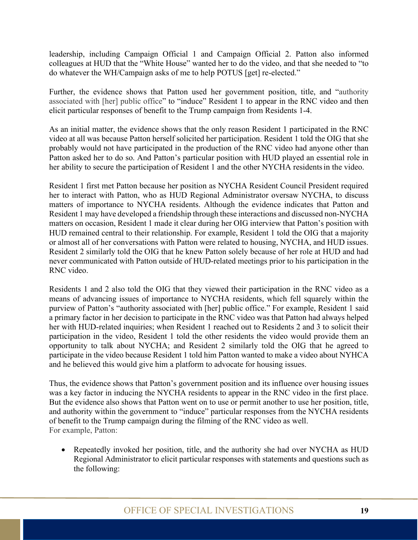leadership, including Campaign Official 1 and Campaign Official 2. Patton also informed colleagues at HUD that the "White House" wanted her to do the video, and that she needed to "to do whatever the WH/Campaign asks of me to help POTUS [get] re-elected."

Further, the evidence shows that Patton used her government position, title, and "authority associated with [her] public office" to "induce" Resident 1 to appear in the RNC video and then elicit particular responses of benefit to the Trump campaign from Residents 1-4.

As an initial matter, the evidence shows that the only reason Resident 1 participated in the RNC video at all was because Patton herself solicited her participation. Resident 1 told the OIG that she probably would not have participated in the production of the RNC video had anyone other than Patton asked her to do so. And Patton's particular position with HUD played an essential role in her ability to secure the participation of Resident 1 and the other NYCHA residentsin the video.

Resident 1 first met Patton because her position as NYCHA Resident Council President required her to interact with Patton, who as HUD Regional Administrator oversaw NYCHA, to discuss matters of importance to NYCHA residents. Although the evidence indicates that Patton and Resident 1 may have developed a friendship through these interactions and discussed non-NYCHA matters on occasion, Resident 1 made it clear during her OIG interview that Patton's position with HUD remained central to their relationship. For example, Resident 1 told the OIG that a majority or almost all of her conversations with Patton were related to housing, NYCHA, and HUD issues. Resident 2 similarly told the OIG that he knew Patton solely because of her role at HUD and had never communicated with Patton outside of HUD-related meetings prior to his participation in the RNC video.

Residents 1 and 2 also told the OIG that they viewed their participation in the RNC video as a means of advancing issues of importance to NYCHA residents, which fell squarely within the purview of Patton's "authority associated with [her] public office." For example, Resident 1 said a primary factor in her decision to participate in the RNC video was that Patton had always helped her with HUD-related inquiries; when Resident 1 reached out to Residents 2 and 3 to solicit their participation in the video, Resident 1 told the other residents the video would provide them an opportunity to talk about NYCHA; and Resident 2 similarly told the OIG that he agreed to participate in the video because Resident 1 told him Patton wanted to make a video about NYHCA and he believed this would give him a platform to advocate for housing issues.

Thus, the evidence shows that Patton's government position and its influence over housing issues was a key factor in inducing the NYCHA residents to appear in the RNC video in the first place. But the evidence also shows that Patton went on to use or permit another to use her position, title, and authority within the government to "induce" particular responses from the NYCHA residents of benefit to the Trump campaign during the filming of the RNC video as well. For example, Patton:

• Repeatedly invoked her position, title, and the authority she had over NYCHA as HUD Regional Administrator to elicit particular responses with statements and questions such as the following: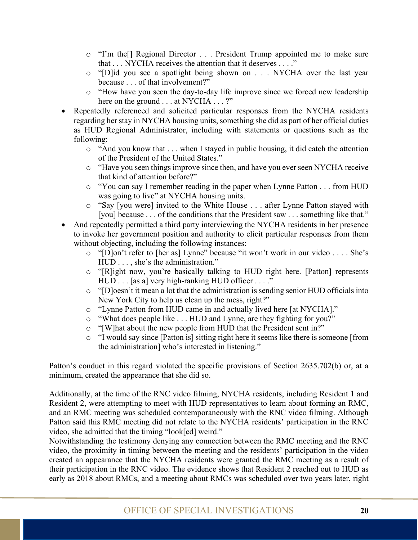- o "I'm the[] Regional Director . . . President Trump appointed me to make sure that . . . NYCHA receives the attention that it deserves . . . ."
- o "[D]id you see a spotlight being shown on . . . NYCHA over the last year because . . . of that involvement?"
- o "How have you seen the day-to-day life improve since we forced new leadership here on the ground . . . at NYCHA . . . ?"
- Repeatedly referenced and solicited particular responses from the NYCHA residents regarding her stay in NYCHA housing units, something she did as part of her official duties as HUD Regional Administrator, including with statements or questions such as the following:
	- $\circ$  "And you know that  $\dots$  when I stayed in public housing, it did catch the attention of the President of the United States."
	- o "Have you seen things improve since then, and have you ever seen NYCHA receive that kind of attention before?"
	- o "You can say I remember reading in the paper when Lynne Patton . . . from HUD was going to live" at NYCHA housing units.
	- o "Say [you were] invited to the White House . . . after Lynne Patton stayed with [you] because . . . of the conditions that the President saw . . . something like that."
- And repeatedly permitted a third party interviewing the NYCHA residents in her presence to invoke her government position and authority to elicit particular responses from them without objecting, including the following instances:
	- o "[D]on't refer to [her as] Lynne" because "it won't work in our video . . . . She's HUD . . . , she's the administration."
	- o "[R]ight now, you're basically talking to HUD right here. [Patton] represents HUD . . . [as a] very high-ranking HUD officer . . . ."
	- o "[D]oesn't it mean a lot that the administration is sending senior HUD officials into New York City to help us clean up the mess, right?"
	- o "Lynne Patton from HUD came in and actually lived here [at NYCHA]."
	- o "What does people like . . . HUD and Lynne, are they fighting for you?"
	- o "[W]hat about the new people from HUD that the President sent in?"
	- o "I would say since [Patton is] sitting right here it seems like there is someone [from the administration] who's interested in listening."

Patton's conduct in this regard violated the specific provisions of Section 2635.702(b) or, at a minimum, created the appearance that she did so.

Additionally, at the time of the RNC video filming, NYCHA residents, including Resident 1 and Resident 2, were attempting to meet with HUD representatives to learn about forming an RMC, and an RMC meeting was scheduled contemporaneously with the RNC video filming. Although Patton said this RMC meeting did not relate to the NYCHA residents' participation in the RNC video, she admitted that the timing "look[ed] weird."

Notwithstanding the testimony denying any connection between the RMC meeting and the RNC video, the proximity in timing between the meeting and the residents' participation in the video created an appearance that the NYCHA residents were granted the RMC meeting as a result of their participation in the RNC video. The evidence shows that Resident 2 reached out to HUD as early as 2018 about RMCs, and a meeting about RMCs was scheduled over two years later, right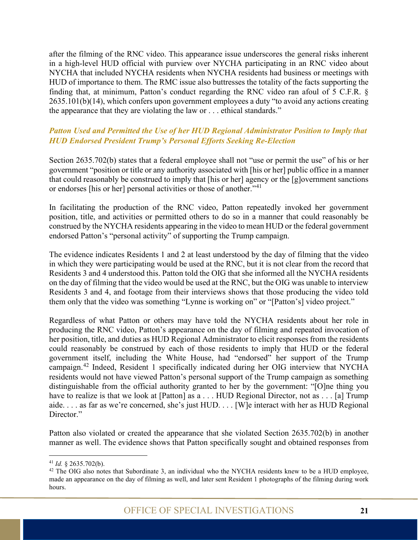after the filming of the RNC video. This appearance issue underscores the general risks inherent in a high-level HUD official with purview over NYCHA participating in an RNC video about NYCHA that included NYCHA residents when NYCHA residents had business or meetings with HUD of importance to them. The RMC issue also buttresses the totality of the facts supporting the finding that, at minimum, Patton's conduct regarding the RNC video ran afoul of 5 C.F.R. § 2635.101(b)(14), which confers upon government employees a duty "to avoid any actions creating the appearance that they are violating the law or . . . ethical standards."

#### <span id="page-26-0"></span>*Patton Used and Permitted the Use of her HUD Regional Administrator Position to Imply that HUD Endorsed President Trump's Personal Efforts Seeking Re-Election*

Section 2635.702(b) states that a federal employee shall not "use or permit the use" of his or her government "position or title or any authority associated with [his or her] public office in a manner that could reasonably be construed to imply that [his or her] agency or the [g]overnment sanctions or endorses [his or her] personal activities or those of another."[41](#page-26-1)

In facilitating the production of the RNC video, Patton repeatedly invoked her government position, title, and activities or permitted others to do so in a manner that could reasonably be construed by the NYCHA residents appearing in the video to mean HUD or the federal government endorsed Patton's "personal activity" of supporting the Trump campaign.

The evidence indicates Residents 1 and 2 at least understood by the day of filming that the video in which they were participating would be used at the RNC, but it is not clear from the record that Residents 3 and 4 understood this. Patton told the OIG that she informed all the NYCHA residents on the day of filming that the video would be used at the RNC, but the OIG was unable to interview Residents 3 and 4, and footage from their interviews shows that those producing the video told them only that the video was something "Lynne is working on" or "[Patton's] video project."

Regardless of what Patton or others may have told the NYCHA residents about her role in producing the RNC video, Patton's appearance on the day of filming and repeated invocation of her position, title, and duties as HUD Regional Administrator to elicit responses from the residents could reasonably be construed by each of those residents to imply that HUD or the federal government itself, including the White House, had "endorsed" her support of the Trump campaign.<sup>[42](#page-26-2)</sup> Indeed, Resident 1 specifically indicated during her OIG interview that NYCHA residents would not have viewed Patton's personal support of the Trump campaign as something distinguishable from the official authority granted to her by the government: "[O]ne thing you have to realize is that we look at [Patton] as a . . . HUD Regional Director, not as . . . [a] Trump aide. . . . as far as we're concerned, she's just HUD. . . . [W]e interact with her as HUD Regional Director."

Patton also violated or created the appearance that she violated Section 2635.702(b) in another manner as well. The evidence shows that Patton specifically sought and obtained responses from

<span id="page-26-2"></span><span id="page-26-1"></span><sup>&</sup>lt;sup>41</sup> *Id.* § 2635.702(b).<br><sup>42</sup> The OIG also notes that Subordinate 3, an individual who the NYCHA residents knew to be a HUD employee, made an appearance on the day of filming as well, and later sent Resident 1 photographs of the filming during work hours.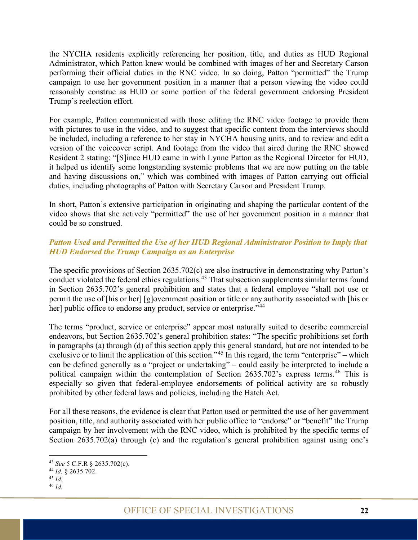the NYCHA residents explicitly referencing her position, title, and duties as HUD Regional Administrator, which Patton knew would be combined with images of her and Secretary Carson performing their official duties in the RNC video. In so doing, Patton "permitted" the Trump campaign to use her government position in a manner that a person viewing the video could reasonably construe as HUD or some portion of the federal government endorsing President Trump's reelection effort.

For example, Patton communicated with those editing the RNC video footage to provide them with pictures to use in the video, and to suggest that specific content from the interviews should be included, including a reference to her stay in NYCHA housing units, and to review and edit a version of the voiceover script. And footage from the video that aired during the RNC showed Resident 2 stating: "[S]ince HUD came in with Lynne Patton as the Regional Director for HUD, it helped us identify some longstanding systemic problems that we are now putting on the table and having discussions on," which was combined with images of Patton carrying out official duties, including photographs of Patton with Secretary Carson and President Trump.

In short, Patton's extensive participation in originating and shaping the particular content of the video shows that she actively "permitted" the use of her government position in a manner that could be so construed.

#### <span id="page-27-0"></span>*Patton Used and Permitted the Use of her HUD Regional Administrator Position to Imply that HUD Endorsed the Trump Campaign as an Enterprise*

The specific provisions of Section 2635.702(c) are also instructive in demonstrating why Patton's conduct violated the federal ethics regulations.<sup>[43](#page-27-1)</sup> That subsection supplements similar terms found in Section 2635.702's general prohibition and states that a federal employee "shall not use or permit the use of [his or her] [g]overnment position or title or any authority associated with [his or her] public office to endorse any product, service or enterprise."<sup>[44](#page-27-2)</sup>

The terms "product, service or enterprise" appear most naturally suited to describe commercial endeavors, but Section 2635.702's general prohibition states: "The specific prohibitions set forth in paragraphs (a) through (d) of this section apply this general standard, but are not intended to be exclusive or to limit the application of this section."<sup>[45](#page-27-3)</sup> In this regard, the term "enterprise" – which can be defined generally as a "project or undertaking" – could easily be interpreted to include a political campaign within the contemplation of Section  $2635.702$ 's express terms.<sup>[46](#page-27-4)</sup> This is especially so given that federal-employee endorsements of political activity are so robustly prohibited by other federal laws and policies, including the Hatch Act.

For all these reasons, the evidence is clear that Patton used or permitted the use of her government position, title, and authority associated with her public office to "endorse" or "benefit" the Trump campaign by her involvement with the RNC video, which is prohibited by the specific terms of Section 2635.702(a) through (c) and the regulation's general prohibition against using one's

<span id="page-27-1"></span><sup>43</sup> *See* 5 C.F.R § 2635.702(c).

<span id="page-27-2"></span><sup>44</sup> *Id.* § 2635.702.

<span id="page-27-3"></span><sup>45</sup> *Id.* 

<span id="page-27-4"></span><sup>46</sup> *Id.*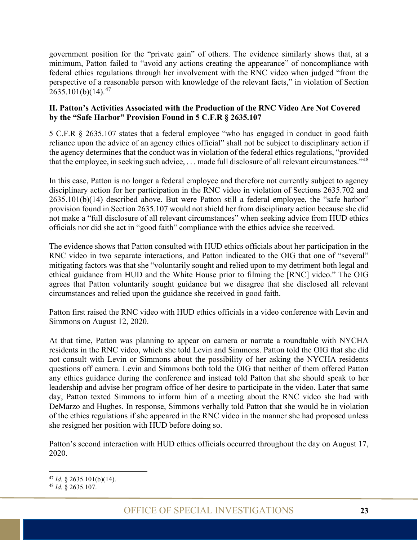government position for the "private gain" of others. The evidence similarly shows that, at a minimum, Patton failed to "avoid any actions creating the appearance" of noncompliance with federal ethics regulations through her involvement with the RNC video when judged "from the perspective of a reasonable person with knowledge of the relevant facts," in violation of Section  $2635.101(b)(14).^{47}$  $2635.101(b)(14).^{47}$  $2635.101(b)(14).^{47}$ 

#### <span id="page-28-0"></span>**II. Patton's Activities Associated with the Production of the RNC Video Are Not Covered by the "Safe Harbor" Provision Found in 5 C.F.R § 2635.107**

5 C.F.R § 2635.107 states that a federal employee "who has engaged in conduct in good faith reliance upon the advice of an agency ethics official" shall not be subject to disciplinary action if the agency determines that the conduct was in violation of the federal ethics regulations, "provided that the employee, in seeking such advice, . . . made full disclosure of all relevant circumstances."[48](#page-28-2)

In this case, Patton is no longer a federal employee and therefore not currently subject to agency disciplinary action for her participation in the RNC video in violation of Sections 2635.702 and 2635.101(b)(14) described above. But were Patton still a federal employee, the "safe harbor" provision found in Section 2635.107 would not shield her from disciplinary action because she did not make a "full disclosure of all relevant circumstances" when seeking advice from HUD ethics officials nor did she act in "good faith" compliance with the ethics advice she received.

The evidence shows that Patton consulted with HUD ethics officials about her participation in the RNC video in two separate interactions, and Patton indicated to the OIG that one of "several" mitigating factors was that she "voluntarily sought and relied upon to my detriment both legal and ethical guidance from HUD and the White House prior to filming the [RNC] video." The OIG agrees that Patton voluntarily sought guidance but we disagree that she disclosed all relevant circumstances and relied upon the guidance she received in good faith.

Patton first raised the RNC video with HUD ethics officials in a video conference with Levin and Simmons on August 12, 2020.

At that time, Patton was planning to appear on camera or narrate a roundtable with NYCHA residents in the RNC video, which she told Levin and Simmons. Patton told the OIG that she did not consult with Levin or Simmons about the possibility of her asking the NYCHA residents questions off camera. Levin and Simmons both told the OIG that neither of them offered Patton any ethics guidance during the conference and instead told Patton that she should speak to her leadership and advise her program office of her desire to participate in the video. Later that same day, Patton texted Simmons to inform him of a meeting about the RNC video she had with DeMarzo and Hughes. In response, Simmons verbally told Patton that she would be in violation of the ethics regulations if she appeared in the RNC video in the manner she had proposed unless she resigned her position with HUD before doing so.

Patton's second interaction with HUD ethics officials occurred throughout the day on August 17, 2020.

<span id="page-28-1"></span><sup>47</sup> *Id.* § 2635.101(b)(14).

<span id="page-28-2"></span><sup>48</sup> *Id.* § 2635.107.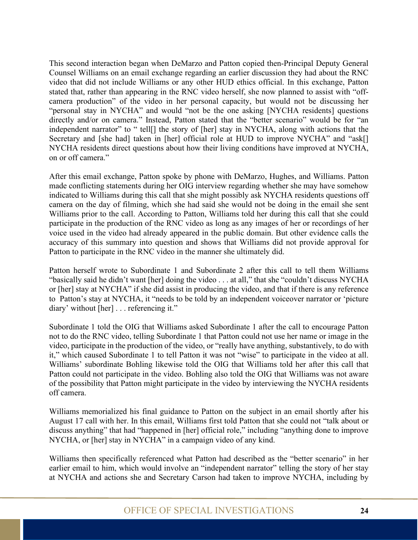This second interaction began when DeMarzo and Patton copied then-Principal Deputy General Counsel Williams on an email exchange regarding an earlier discussion they had about the RNC video that did not include Williams or any other HUD ethics official. In this exchange, Patton stated that, rather than appearing in the RNC video herself, she now planned to assist with "offcamera production" of the video in her personal capacity, but would not be discussing her "personal stay in NYCHA" and would "not be the one asking [NYCHA residents] questions directly and/or on camera." Instead, Patton stated that the "better scenario" would be for "an independent narrator" to " tell[] the story of [her] stay in NYCHA, along with actions that the Secretary and [she had] taken in [her] official role at HUD to improve NYCHA" and "ask[] NYCHA residents direct questions about how their living conditions have improved at NYCHA, on or off camera."

After this email exchange, Patton spoke by phone with DeMarzo, Hughes, and Williams. Patton made conflicting statements during her OIG interview regarding whether she may have somehow indicated to Williams during this call that she might possibly ask NYCHA residents questions off camera on the day of filming, which she had said she would not be doing in the email she sent Williams prior to the call. According to Patton, Williams told her during this call that she could participate in the production of the RNC video as long as any images of her or recordings of her voice used in the video had already appeared in the public domain. But other evidence calls the accuracy of this summary into question and shows that Williams did not provide approval for Patton to participate in the RNC video in the manner she ultimately did.

Patton herself wrote to Subordinate 1 and Subordinate 2 after this call to tell them Williams "basically said he didn't want [her] doing the video . . . at all," that she "couldn't discuss NYCHA or [her] stay at NYCHA" if she did assist in producing the video, and that if there is any reference to Patton's stay at NYCHA, it "needs to be told by an independent voiceover narrator or 'picture diary' without [her] . . . referencing it."

Subordinate 1 told the OIG that Williams asked Subordinate 1 after the call to encourage Patton not to do the RNC video, telling Subordinate 1 that Patton could not use her name or image in the video, participate in the production of the video, or "really have anything, substantively, to do with it," which caused Subordinate 1 to tell Patton it was not "wise" to participate in the video at all. Williams' subordinate Bohling likewise told the OIG that Williams told her after this call that Patton could not participate in the video. Bohling also told the OIG that Williams was not aware of the possibility that Patton might participate in the video by interviewing the NYCHA residents off camera.

Williams memorialized his final guidance to Patton on the subject in an email shortly after his August 17 call with her. In this email, Williams first told Patton that she could not "talk about or discuss anything" that had "happened in [her] official role," including "anything done to improve NYCHA, or [her] stay in NYCHA" in a campaign video of any kind.

Williams then specifically referenced what Patton had described as the "better scenario" in her earlier email to him, which would involve an "independent narrator" telling the story of her stay at NYCHA and actions she and Secretary Carson had taken to improve NYCHA, including by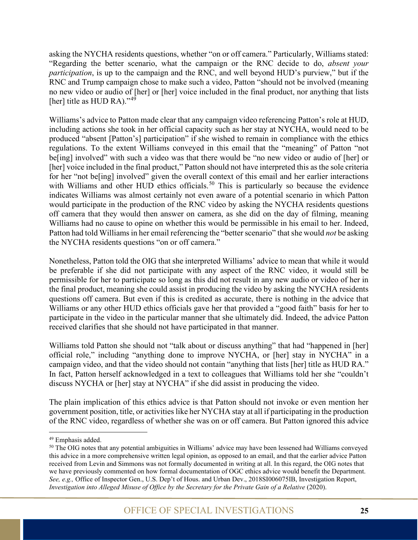asking the NYCHA residents questions, whether "on or off camera." Particularly, Williams stated: "Regarding the better scenario, what the campaign or the RNC decide to do, *absent your participation*, is up to the campaign and the RNC, and well beyond HUD's purview," but if the RNC and Trump campaign chose to make such a video, Patton "should not be involved (meaning no new video or audio of [her] or [her] voice included in the final product, nor anything that lists [her] title as HUD RA)." $49$ 

Williams's advice to Patton made clear that any campaign video referencing Patton's role at HUD, including actions she took in her official capacity such as her stay at NYCHA, would need to be produced "absent [Patton's] participation" if she wished to remain in compliance with the ethics regulations. To the extent Williams conveyed in this email that the "meaning" of Patton "not be[ing] involved" with such a video was that there would be "no new video or audio of [her] or [her] voice included in the final product," Patton should not have interpreted this as the sole criteria for her "not be[ing] involved" given the overall context of this email and her earlier interactions with Williams and other HUD ethics officials.<sup>[50](#page-30-1)</sup> This is particularly so because the evidence indicates Williams was almost certainly not even aware of a potential scenario in which Patton would participate in the production of the RNC video by asking the NYCHA residents questions off camera that they would then answer on camera, as she did on the day of filming, meaning Williams had no cause to opine on whether this would be permissible in his email to her. Indeed, Patton had told Williams in her email referencing the "better scenario" that she would *not* be asking the NYCHA residents questions "on or off camera."

Nonetheless, Patton told the OIG that she interpreted Williams' advice to mean that while it would be preferable if she did not participate with any aspect of the RNC video, it would still be permissible for her to participate so long as this did not result in any new audio or video of her in the final product, meaning she could assist in producing the video by asking the NYCHA residents questions off camera. But even if this is credited as accurate, there is nothing in the advice that Williams or any other HUD ethics officials gave her that provided a "good faith" basis for her to participate in the video in the particular manner that she ultimately did. Indeed, the advice Patton received clarifies that she should not have participated in that manner.

Williams told Patton she should not "talk about or discuss anything" that had "happened in [her] official role," including "anything done to improve NYCHA, or [her] stay in NYCHA" in a campaign video, and that the video should not contain "anything that lists [her] title as HUD RA." In fact, Patton herself acknowledged in a text to colleagues that Williams told her she "couldn't discuss NYCHA or [her] stay at NYCHA" if she did assist in producing the video.

The plain implication of this ethics advice is that Patton should not invoke or even mention her government position, title, or activities like her NYCHA stay at all if participating in the production of the RNC video, regardless of whether she was on or off camera. But Patton ignored this advice

<span id="page-30-0"></span><sup>49</sup> Emphasis added.

<span id="page-30-1"></span><sup>&</sup>lt;sup>50</sup> The OIG notes that any potential ambiguities in Williams' advice may have been lessened had Williams conveyed this advice in a more comprehensive written legal opinion, as opposed to an email, and that the earlier advice Patton received from Levin and Simmons was not formally documented in writing at all. In this regard, the OIG notes that we have previously commented on how formal documentation of OGC ethics advice would benefit the Department. *See, e.g.,* Office of Inspector Gen., U.S. Dep't of Hous. and Urban Dev., 2018SI006075IB, Investigation Report, *Investigation into Alleged Misuse of Office by the Secretary for the Private Gain of a Relative (2020).*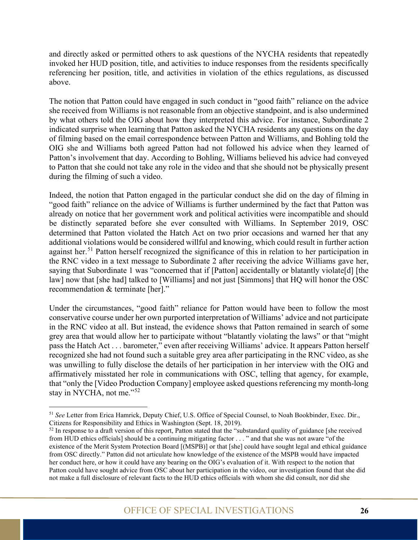and directly asked or permitted others to ask questions of the NYCHA residents that repeatedly invoked her HUD position, title, and activities to induce responses from the residents specifically referencing her position, title, and activities in violation of the ethics regulations, as discussed above.

The notion that Patton could have engaged in such conduct in "good faith" reliance on the advice she received from Williams is not reasonable from an objective standpoint, and is also undermined by what others told the OIG about how they interpreted this advice. For instance, Subordinate 2 indicated surprise when learning that Patton asked the NYCHA residents any questions on the day of filming based on the email correspondence between Patton and Williams, and Bohling told the OIG she and Williams both agreed Patton had not followed his advice when they learned of Patton's involvement that day. According to Bohling, Williams believed his advice had conveyed to Patton that she could not take any role in the video and that she should not be physically present during the filming of such a video.

Indeed, the notion that Patton engaged in the particular conduct she did on the day of filming in "good faith" reliance on the advice of Williams is further undermined by the fact that Patton was already on notice that her government work and political activities were incompatible and should be distinctly separated before she ever consulted with Williams. In September 2019, OSC determined that Patton violated the Hatch Act on two prior occasions and warned her that any additional violations would be considered willful and knowing, which could result in further action against her.<sup>[51](#page-31-0)</sup> Patton herself recognized the significance of this in relation to her participation in the RNC video in a text message to Subordinate 2 after receiving the advice Williams gave her, saying that Subordinate 1 was "concerned that if [Patton] accidentally or blatantly violate[d] [the law] now that [she had] talked to [Williams] and not just [Simmons] that HQ will honor the OSC recommendation & terminate [her]."

Under the circumstances, "good faith" reliance for Patton would have been to follow the most conservative course under her own purported interpretation of Williams' advice and not participate in the RNC video at all. But instead, the evidence shows that Patton remained in search of some grey area that would allow her to participate without "blatantly violating the laws" or that "might pass the Hatch Act . . . barometer," even after receiving Williams' advice. It appears Patton herself recognized she had not found such a suitable grey area after participating in the RNC video, as she was unwilling to fully disclose the details of her participation in her interview with the OIG and affirmatively misstated her role in communications with OSC, telling that agency, for example, that "only the [Video Production Company] employee asked questions referencing my month-long stay in NYCHA, not me."<sup>[52](#page-31-1)</sup>

<span id="page-31-0"></span><sup>51</sup> *See* Letter from Erica Hamrick, Deputy Chief, U.S. Office of Special Counsel, to Noah Bookbinder, Exec. Dir., Citizens for Responsibility and Ethics in Washington [\(Sept. 18, 2019\).](file://hudoig.gov/public/HUDShare/OSI/Shared/Patton/A-%20Background%20Documents/d-%20other/Ltr-to-CREW-re-Patton.pdf)

<span id="page-31-1"></span> $52$  In response to a draft version of this report, Patton stated that the "substandard quality of guidance [she received] from HUD ethics officials] should be a continuing mitigating factor . . . " and that she was not aware "of the existence of the Merit System Protection Board [(MSPB)] or that [she] could have sought legal and ethical guidance from OSC directly." Patton did not articulate how knowledge of the existence of the MSPB would have impacted her conduct here, or how it could have any bearing on the OIG's evaluation of it. With respect to the notion that Patton could have sought advice from OSC about her participation in the video, our investigation found that she did not make a full disclosure of relevant facts to the HUD ethics officials with whom she did consult, nor did she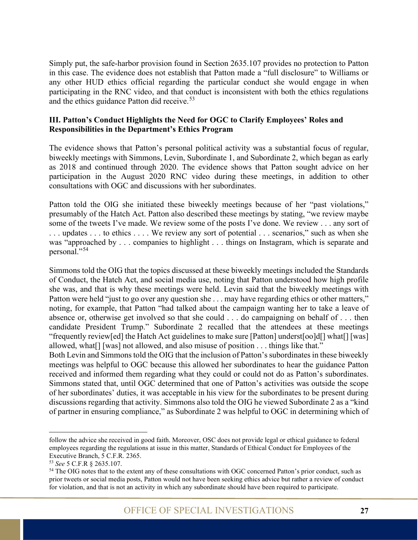Simply put, the safe-harbor provision found in Section 2635.107 provides no protection to Patton in this case. The evidence does not establish that Patton made a "full disclosure" to Williams or any other HUD ethics official regarding the particular conduct she would engage in when participating in the RNC video, and that conduct is inconsistent with both the ethics regulations and the ethics guidance Patton did receive.<sup>[53](#page-32-1)</sup>

#### <span id="page-32-0"></span>**III. Patton's Conduct Highlights the Need for OGC to Clarify Employees' Roles and Responsibilities in the Department's Ethics Program**

The evidence shows that Patton's personal political activity was a substantial focus of regular, biweekly meetings with Simmons, Levin, Subordinate 1, and Subordinate 2, which began as early as 2018 and continued through 2020. The evidence shows that Patton sought advice on her participation in the August 2020 RNC video during these meetings, in addition to other consultations with OGC and discussions with her subordinates.

Patton told the OIG she initiated these biweekly meetings because of her "past violations," presumably of the Hatch Act. Patton also described these meetings by stating, "we review maybe some of the tweets I've made. We review some of the posts I've done. We review . . . any sort of . . . updates . . . to ethics . . . . We review any sort of potential . . . scenarios," such as when she was "approached by . . . companies to highlight . . . things on Instagram, which is separate and personal."[54](#page-32-2)

Simmons told the OIG that the topics discussed at these biweekly meetings included the Standards of Conduct, the Hatch Act, and social media use, noting that Patton understood how high profile she was, and that is why these meetings were held. Levin said that the biweekly meetings with Patton were held "just to go over any question she . . . may have regarding ethics or other matters," noting, for example, that Patton "had talked about the campaign wanting her to take a leave of absence or, otherwise get involved so that she could . . . do campaigning on behalf of . . . then candidate President Trump." Subordinate 2 recalled that the attendees at these meetings "frequently review[ed] the Hatch Act guidelines to make sure [Patton] underst[oo]d[] what[] [was] allowed, what<sup>[]</sup> [was] not allowed, and also misuse of position . . . things like that."

Both Levin and Simmons told the OIG that the inclusion of Patton's subordinates in these biweekly meetings was helpful to OGC because this allowed her subordinates to hear the guidance Patton received and informed them regarding what they could or could not do as Patton's subordinates. Simmons stated that, until OGC determined that one of Patton's activities was outside the scope of her subordinates' duties, it was acceptable in his view for the subordinates to be present during discussions regarding that activity. Simmons also told the OIG he viewed Subordinate 2 as a "kind of partner in ensuring compliance," as Subordinate 2 was helpful to OGC in determining which of

follow the advice she received in good faith. Moreover, OSC does not provide legal or ethical guidance to federal employees regarding the regulations at issue in this matter, Standards of Ethical Conduct for Employees of the Executive Branch, 5 C.F.R. 2365.

<span id="page-32-1"></span><sup>53</sup> *See* 5 C.F.R § 2635.107.

<span id="page-32-2"></span><sup>&</sup>lt;sup>54</sup> The OIG notes that to the extent any of these consultations with OGC concerned Patton's prior conduct, such as prior tweets or social media posts, Patton would not have been seeking ethics advice but rather a review of conduct for violation, and that is not an activity in which any subordinate should have been required to participate.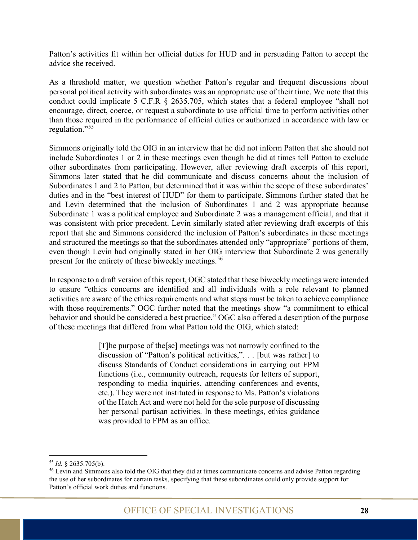Patton's activities fit within her official duties for HUD and in persuading Patton to accept the advice she received.

As a threshold matter, we question whether Patton's regular and frequent discussions about personal political activity with subordinates was an appropriate use of their time. We note that this conduct could implicate 5 C.F.R § 2635.705, which states that a federal employee "shall not encourage, direct, coerce, or request a subordinate to use official time to perform activities other than those required in the performance of official duties or authorized in accordance with law or regulation."<sup>[55](#page-33-0)</sup>

Simmons originally told the OIG in an interview that he did not inform Patton that she should not include Subordinates 1 or 2 in these meetings even though he did at times tell Patton to exclude other subordinates from participating. However, after reviewing draft excerpts of this report, Simmons later stated that he did communicate and discuss concerns about the inclusion of Subordinates 1 and 2 to Patton, but determined that it was within the scope of these subordinates' duties and in the "best interest of HUD" for them to participate. Simmons further stated that he and Levin determined that the inclusion of Subordinates 1 and 2 was appropriate because Subordinate 1 was a political employee and Subordinate 2 was a management official, and that it was consistent with prior precedent. Levin similarly stated after reviewing draft excerpts of this report that she and Simmons considered the inclusion of Patton's subordinates in these meetings and structured the meetings so that the subordinates attended only "appropriate" portions of them, even though Levin had originally stated in her OIG interview that Subordinate 2 was generally present for the entirety of these biweekly meetings.<sup>[56](#page-33-1)</sup>

In response to a draft version of this report, OGC stated that these biweekly meetings were intended to ensure "ethics concerns are identified and all individuals with a role relevant to planned activities are aware of the ethics requirements and what steps must be taken to achieve compliance with those requirements." OGC further noted that the meetings show "a commitment to ethical behavior and should be considered a best practice." OGC also offered a description of the purpose of these meetings that differed from what Patton told the OIG, which stated:

> [T]he purpose of the[se] meetings was not narrowly confined to the discussion of "Patton's political activities,". . . [but was rather] to discuss Standards of Conduct considerations in carrying out FPM functions (i.e., community outreach, requests for letters of support, responding to media inquiries, attending conferences and events, etc.). They were not instituted in response to Ms. Patton's violations of the Hatch Act and were not held for the sole purpose of discussing her personal partisan activities. In these meetings, ethics guidance was provided to FPM as an office.

<span id="page-33-1"></span><span id="page-33-0"></span><sup>&</sup>lt;sup>55</sup> *Id.* § 2635.705(b).<br><sup>56</sup> Levin and Simmons also told the OIG that they did at times communicate concerns and advise Patton regarding the use of her subordinates for certain tasks, specifying that these subordinates could only provide support for Patton's official work duties and functions.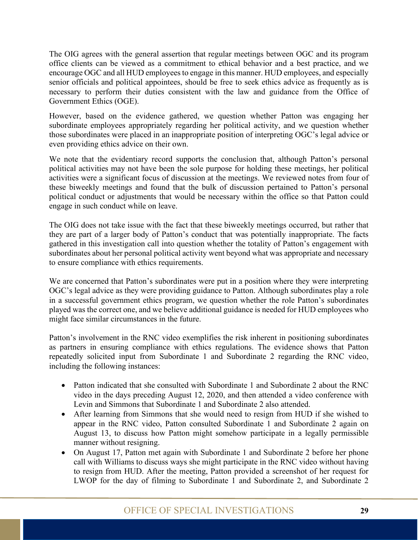The OIG agrees with the general assertion that regular meetings between OGC and its program office clients can be viewed as a commitment to ethical behavior and a best practice, and we encourage OGC and all HUD employees to engage in this manner. HUD employees, and especially senior officials and political appointees, should be free to seek ethics advice as frequently as is necessary to perform their duties consistent with the law and guidance from the Office of Government Ethics (OGE).

However, based on the evidence gathered, we question whether Patton was engaging her subordinate employees appropriately regarding her political activity, and we question whether those subordinates were placed in an inappropriate position of interpreting OGC's legal advice or even providing ethics advice on their own.

We note that the evidentiary record supports the conclusion that, although Patton's personal political activities may not have been the sole purpose for holding these meetings, her political activities were a significant focus of discussion at the meetings. We reviewed notes from four of these biweekly meetings and found that the bulk of discussion pertained to Patton's personal political conduct or adjustments that would be necessary within the office so that Patton could engage in such conduct while on leave.

The OIG does not take issue with the fact that these biweekly meetings occurred, but rather that they are part of a larger body of Patton's conduct that was potentially inappropriate. The facts gathered in this investigation call into question whether the totality of Patton's engagement with subordinates about her personal political activity went beyond what was appropriate and necessary to ensure compliance with ethics requirements.

We are concerned that Patton's subordinates were put in a position where they were interpreting OGC's legal advice as they were providing guidance to Patton. Although subordinates play a role in a successful government ethics program, we question whether the role Patton's subordinates played was the correct one, and we believe additional guidance is needed for HUD employees who might face similar circumstances in the future.

Patton's involvement in the RNC video exemplifies the risk inherent in positioning subordinates as partners in ensuring compliance with ethics regulations. The evidence shows that Patton repeatedly solicited input from Subordinate 1 and Subordinate 2 regarding the RNC video, including the following instances:

- Patton indicated that she consulted with Subordinate 1 and Subordinate 2 about the RNC video in the days preceding August 12, 2020, and then attended a video conference with Levin and Simmons that Subordinate 1 and Subordinate 2 also attended.
- After learning from Simmons that she would need to resign from HUD if she wished to appear in the RNC video, Patton consulted Subordinate 1 and Subordinate 2 again on August 13, to discuss how Patton might somehow participate in a legally permissible manner without resigning.
- On August 17, Patton met again with Subordinate 1 and Subordinate 2 before her phone call with Williams to discuss ways she might participate in the RNC video without having to resign from HUD. After the meeting, Patton provided a screenshot of her request for LWOP for the day of filming to Subordinate 1 and Subordinate 2, and Subordinate 2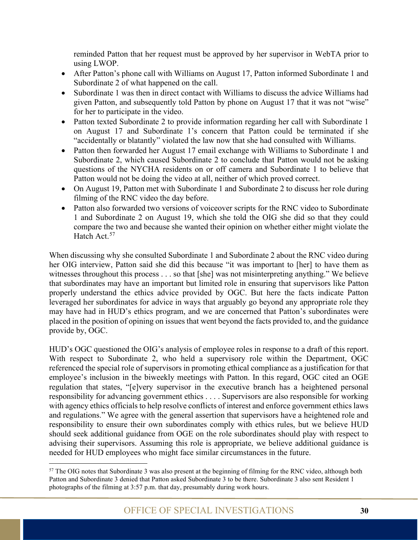reminded Patton that her request must be approved by her supervisor in WebTA prior to using LWOP.

- After Patton's phone call with Williams on August 17, Patton informed Subordinate 1 and Subordinate 2 of what happened on the call.
- Subordinate 1 was then in direct contact with Williams to discuss the advice Williams had given Patton, and subsequently told Patton by phone on August 17 that it was not "wise" for her to participate in the video.
- Patton texted Subordinate 2 to provide information regarding her call with Subordinate 1 on August 17 and Subordinate 1's concern that Patton could be terminated if she "accidentally or blatantly" violated the law now that she had consulted with Williams.
- Patton then forwarded her August 17 email exchange with Williams to Subordinate 1 and Subordinate 2, which caused Subordinate 2 to conclude that Patton would not be asking questions of the NYCHA residents on or off camera and Subordinate 1 to believe that Patton would not be doing the video at all, neither of which proved correct.
- On August 19, Patton met with Subordinate 1 and Subordinate 2 to discuss her role during filming of the RNC video the day before.
- Patton also forwarded two versions of voiceover scripts for the RNC video to Subordinate 1 and Subordinate 2 on August 19, which she told the OIG she did so that they could compare the two and because she wanted their opinion on whether either might violate the Hatch Act.<sup>[57](#page-35-0)</sup>

When discussing why she consulted Subordinate 1 and Subordinate 2 about the RNC video during her OIG interview, Patton said she did this because "it was important to [her] to have them as witnesses throughout this process . . . so that [she] was not misinterpreting anything." We believe that subordinates may have an important but limited role in ensuring that supervisors like Patton properly understand the ethics advice provided by OGC. But here the facts indicate Patton leveraged her subordinates for advice in ways that arguably go beyond any appropriate role they may have had in HUD's ethics program, and we are concerned that Patton's subordinates were placed in the position of opining on issues that went beyond the facts provided to, and the guidance provide by, OGC.

HUD's OGC questioned the OIG's analysis of employee roles in response to a draft of this report. With respect to Subordinate 2, who held a supervisory role within the Department, OGC referenced the special role of supervisors in promoting ethical compliance as a justification for that employee's inclusion in the biweekly meetings with Patton. In this regard, OGC cited an OGE regulation that states, "[e]very supervisor in the executive branch has a heightened personal responsibility for advancing government ethics . . . . Supervisors are also responsible for working with agency ethics officials to help resolve conflicts of interest and enforce government ethics laws and regulations." We agree with the general assertion that supervisors have a heightened role and responsibility to ensure their own subordinates comply with ethics rules, but we believe HUD should seek additional guidance from OGE on the role subordinates should play with respect to advising their supervisors. Assuming this role is appropriate, we believe additional guidance is needed for HUD employees who might face similar circumstances in the future.

<span id="page-35-0"></span><sup>&</sup>lt;sup>57</sup> The OIG notes that Subordinate 3 was also present at the beginning of filming for the RNC video, although both Patton and Subordinate 3 denied that Patton asked Subordinate 3 to be there. Subordinate 3 also sent Resident 1 photographs of the filming at 3:57 p.m. that day, presumably during work hours.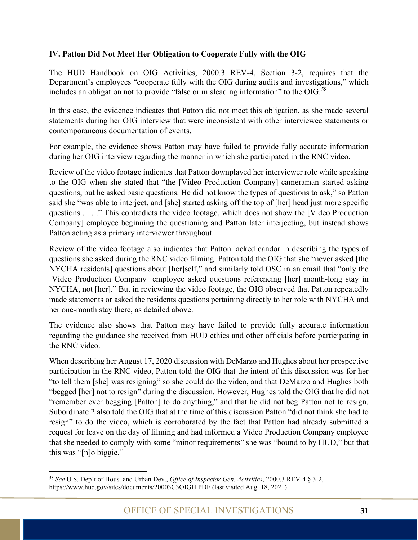#### <span id="page-36-0"></span>**IV. Patton Did Not Meet Her Obligation to Cooperate Fully with the OIG**

The HUD Handbook on OIG Activities, 2000.3 REV-4, Section 3-2, requires that the Department's employees "cooperate fully with the OIG during audits and investigations," which includes an obligation not to provide "false or misleading information" to the OIG.<sup>[58](#page-36-1)</sup>

In this case, the evidence indicates that Patton did not meet this obligation, as she made several statements during her OIG interview that were inconsistent with other interviewee statements or contemporaneous documentation of events.

For example, the evidence shows Patton may have failed to provide fully accurate information during her OIG interview regarding the manner in which she participated in the RNC video.

Review of the video footage indicates that Patton downplayed her interviewer role while speaking to the OIG when she stated that "the [Video Production Company] cameraman started asking questions, but he asked basic questions. He did not know the types of questions to ask," so Patton said she "was able to interject, and [she] started asking off the top of [her] head just more specific questions . . . ." This contradicts the video footage, which does not show the [Video Production Company] employee beginning the questioning and Patton later interjecting, but instead shows Patton acting as a primary interviewer throughout.

Review of the video footage also indicates that Patton lacked candor in describing the types of questions she asked during the RNC video filming. Patton told the OIG that she "never asked [the NYCHA residents] questions about [her]self," and similarly told OSC in an email that "only the [Video Production Company] employee asked questions referencing [her] month-long stay in NYCHA, not [her]." But in reviewing the video footage, the OIG observed that Patton repeatedly made statements or asked the residents questions pertaining directly to her role with NYCHA and her one-month stay there, as detailed above.

The evidence also shows that Patton may have failed to provide fully accurate information regarding the guidance she received from HUD ethics and other officials before participating in the RNC video.

When describing her August 17, 2020 discussion with DeMarzo and Hughes about her prospective participation in the RNC video, Patton told the OIG that the intent of this discussion was for her "to tell them [she] was resigning" so she could do the video, and that DeMarzo and Hughes both "begged [her] not to resign" during the discussion. However, Hughes told the OIG that he did not "remember ever begging [Patton] to do anything," and that he did not beg Patton not to resign. Subordinate 2 also told the OIG that at the time of this discussion Patton "did not think she had to resign" to do the video, which is corroborated by the fact that Patton had already submitted a request for leave on the day of filming and had informed a Video Production Company employee that she needed to comply with some "minor requirements" she was "bound to by HUD," but that this was "[n]o biggie."

<span id="page-36-1"></span><sup>58</sup> *See* U.S. Dep't of Hous. and Urban Dev., *Office of Inspector Gen. Activities*, 2000.3 REV-4 § 3-2, <https://www.hud.gov/sites/documents/20003C3OIGH.PDF> (last visited Aug. 18, 2021).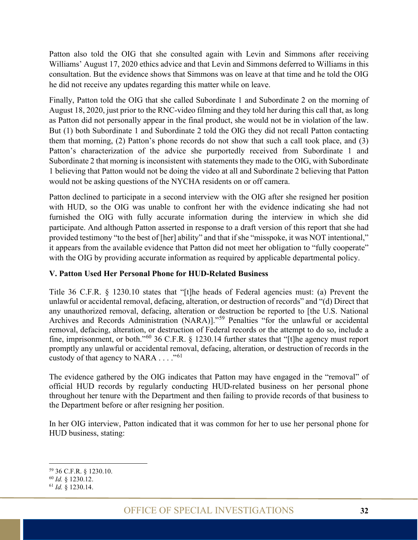Patton also told the OIG that she consulted again with Levin and Simmons after receiving Williams' August 17, 2020 ethics advice and that Levin and Simmons deferred to Williams in this consultation. But the evidence shows that Simmons was on leave at that time and he told the OIG he did not receive any updates regarding this matter while on leave.

Finally, Patton told the OIG that she called Subordinate 1 and Subordinate 2 on the morning of August 18, 2020, just prior to the RNC-video filming and they told her during this call that, as long as Patton did not personally appear in the final product, she would not be in violation of the law. But (1) both Subordinate 1 and Subordinate 2 told the OIG they did not recall Patton contacting them that morning, (2) Patton's phone records do not show that such a call took place, and (3) Patton's characterization of the advice she purportedly received from Subordinate 1 and Subordinate 2 that morning is inconsistent with statements they made to the OIG, with Subordinate 1 believing that Patton would not be doing the video at all and Subordinate 2 believing that Patton would not be asking questions of the NYCHA residents on or off camera.

Patton declined to participate in a second interview with the OIG after she resigned her position with HUD, so the OIG was unable to confront her with the evidence indicating she had not furnished the OIG with fully accurate information during the interview in which she did participate. And although Patton asserted in response to a draft version of this report that she had provided testimony "to the best of [her] ability" and that if she "misspoke, it was NOT intentional," it appears from the available evidence that Patton did not meet her obligation to "fully cooperate" with the OIG by providing accurate information as required by applicable departmental policy.

#### <span id="page-37-0"></span>**V. Patton Used Her Personal Phone for HUD-Related Business**

Title 36 C.F.R. § 1230.10 states that "[t]he heads of Federal agencies must: (a) Prevent the unlawful or accidental removal, defacing, alteration, or destruction of records" and "(d) Direct that any unauthorized removal, defacing, alteration or destruction be reported to [the U.S. National Archives and Records Administration (NARA)]."[59](#page-37-1) Penalties "for the unlawful or accidental removal, defacing, alteration, or destruction of Federal records or the attempt to do so, include a fine, imprisonment, or both."[60](#page-37-2) 36 C.F.R. § 1230.14 further states that "[t]he agency must report promptly any unlawful or accidental removal, defacing, alteration, or destruction of records in the custody of that agency to NARA  $\dots$ ."<sup>[61](#page-37-3)</sup>

The evidence gathered by the OIG indicates that Patton may have engaged in the "removal" of official HUD records by regularly conducting HUD-related business on her personal phone throughout her tenure with the Department and then failing to provide records of that business to the Department before or after resigning her position.

In her OIG interview, Patton indicated that it was common for her to use her personal phone for HUD business, stating:

<span id="page-37-1"></span><sup>&</sup>lt;sup>59</sup> 36 C.F.R. § 1230.10.<br><sup>60</sup> Id. § 1230.12.

<span id="page-37-3"></span><span id="page-37-2"></span><sup>60</sup> *Id.* § 1230.12. 61 *Id.* § 1230.14.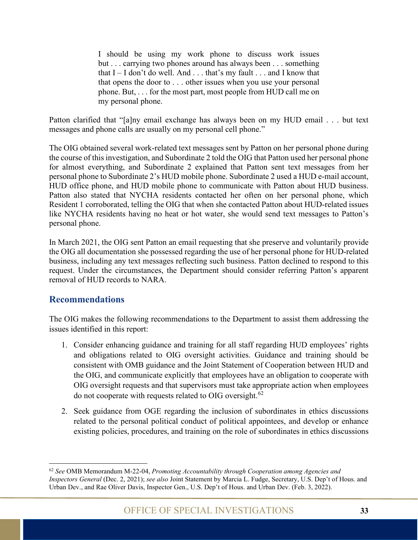I should be using my work phone to discuss work issues but . . . carrying two phones around has always been . . . something that  $I - I$  don't do well. And  $\ldots$  that's my fault  $\ldots$  and I know that that opens the door to . . . other issues when you use your personal phone. But, . . . for the most part, most people from HUD call me on my personal phone.

Patton clarified that "[a]ny email exchange has always been on my HUD email . . . but text messages and phone calls are usually on my personal cell phone."

The OIG obtained several work-related text messages sent by Patton on her personal phone during the course of this investigation, and Subordinate 2 told the OIG that Patton used her personal phone for almost everything, and Subordinate 2 explained that Patton sent text messages from her personal phone to Subordinate 2's HUD mobile phone. Subordinate 2 used a HUD e-mail account, HUD office phone, and HUD mobile phone to communicate with Patton about HUD business. Patton also stated that NYCHA residents contacted her often on her personal phone, which Resident 1 corroborated, telling the OIG that when she contacted Patton about HUD-related issues like NYCHA residents having no heat or hot water, she would send text messages to Patton's personal phone.

In March 2021, the OIG sent Patton an email requesting that she preserve and voluntarily provide the OIG all documentation she possessed regarding the use of her personal phone for HUD-related business, including any text messages reflecting such business. Patton declined to respond to this request. Under the circumstances, the Department should consider referring Patton's apparent removal of HUD records to NARA.

#### <span id="page-38-0"></span>**Recommendations**

The OIG makes the following recommendations to the Department to assist them addressing the issues identified in this report:

- 1. Consider enhancing guidance and training for all staff regarding HUD employees' rights and obligations related to OIG oversight activities. Guidance and training should be consistent with OMB guidance and the Joint Statement of Cooperation between HUD and the OIG, and communicate explicitly that employees have an obligation to cooperate with OIG oversight requests and that supervisors must take appropriate action when employees do not cooperate with requests related to OIG oversight.<sup>[62](#page-38-1)</sup>
- 2. Seek guidance from OGE regarding the inclusion of subordinates in ethics discussions related to the personal political conduct of political appointees, and develop or enhance existing policies, procedures, and training on the role of subordinates in ethics discussions

<span id="page-38-1"></span><sup>62</sup> *See* OMB Memorandum M-22-04, *Promoting Accountability through Cooperation among Agencies and Inspectors General* (Dec. 2, 2021); *see also* Joint Statement by Marcia L. Fudge, Secretary, U.S. Dep't of Hous. and Urban Dev., and Rae Oliver Davis, Inspector Gen., U.S. Dep't of Hous. and Urban Dev. (Feb. 3, 2022).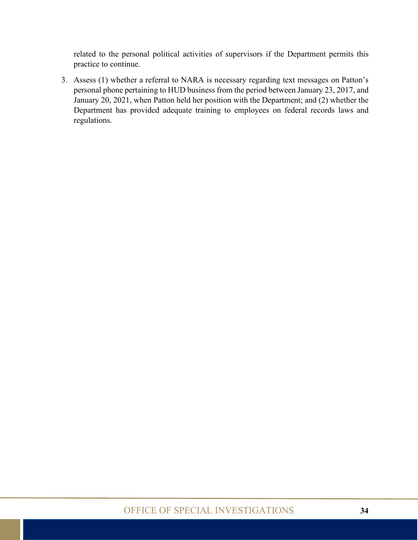related to the personal political activities of supervisors if the Department permits this practice to continue.

3. Assess (1) whether a referral to NARA is necessary regarding text messages on Patton's personal phone pertaining to HUD business from the period between January 23, 2017, and January 20, 2021, when Patton held her position with the Department; and (2) whether the Department has provided adequate training to employees on federal records laws and regulations.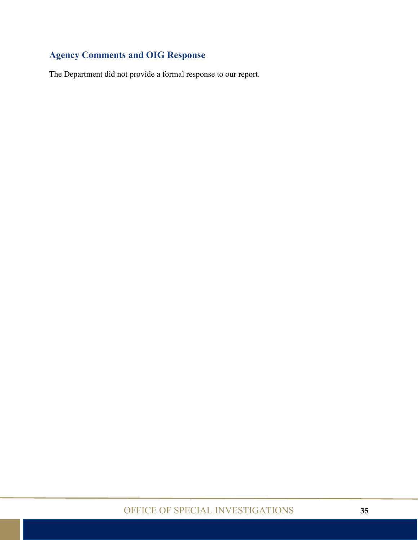### <span id="page-40-0"></span>**Agency Comments and OIG Response**

The Department did not provide a formal response to our report.